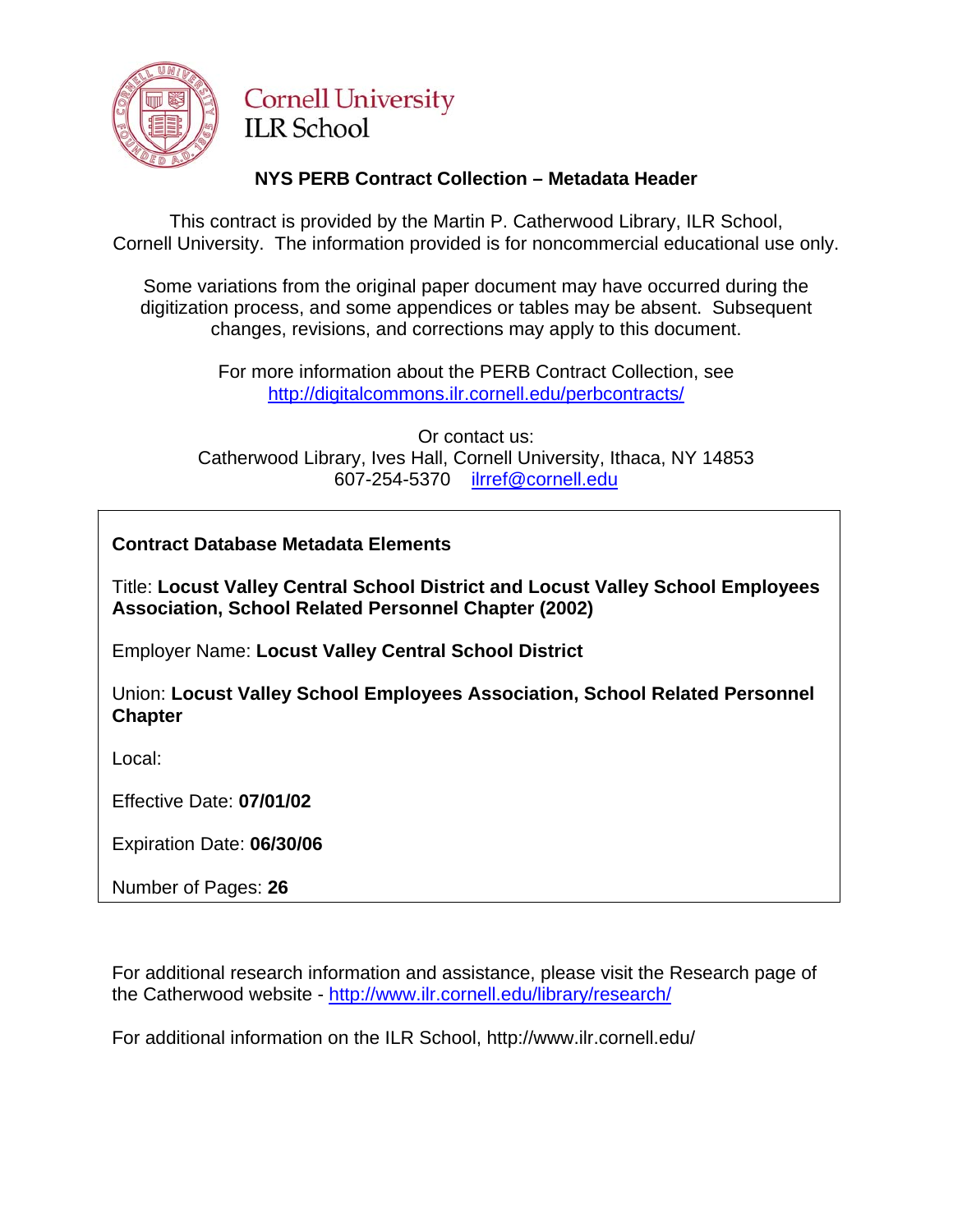

# **Cornell University ILR School**

# **NYS PERB Contract Collection – Metadata Header**

This contract is provided by the Martin P. Catherwood Library, ILR School, Cornell University. The information provided is for noncommercial educational use only.

Some variations from the original paper document may have occurred during the digitization process, and some appendices or tables may be absent. Subsequent changes, revisions, and corrections may apply to this document.

> For more information about the PERB Contract Collection, see http://digitalcommons.ilr.cornell.edu/perbcontracts/

Or contact us: Catherwood Library, Ives Hall, Cornell University, Ithaca, NY 14853 607-254-5370 [ilrref@cornell.edu](mailto:ilrref@cornell.edu)

**Contract Database Metadata Elements** 

Title: **Locust Valley Central School District and Locust Valley School Employees Association, School Related Personnel Chapter (2002)**

Employer Name: **Locust Valley Central School District**

Union: **Locust Valley School Employees Association, School Related Personnel Chapter**

Local:

Effective Date: **07/01/02**

Expiration Date: **06/30/06**

Number of Pages: **26**

For additional research information and assistance, please visit the Research page of the Catherwood website -<http://www.ilr.cornell.edu/library/research/>

For additional information on the ILR School, http://www.ilr.cornell.edu/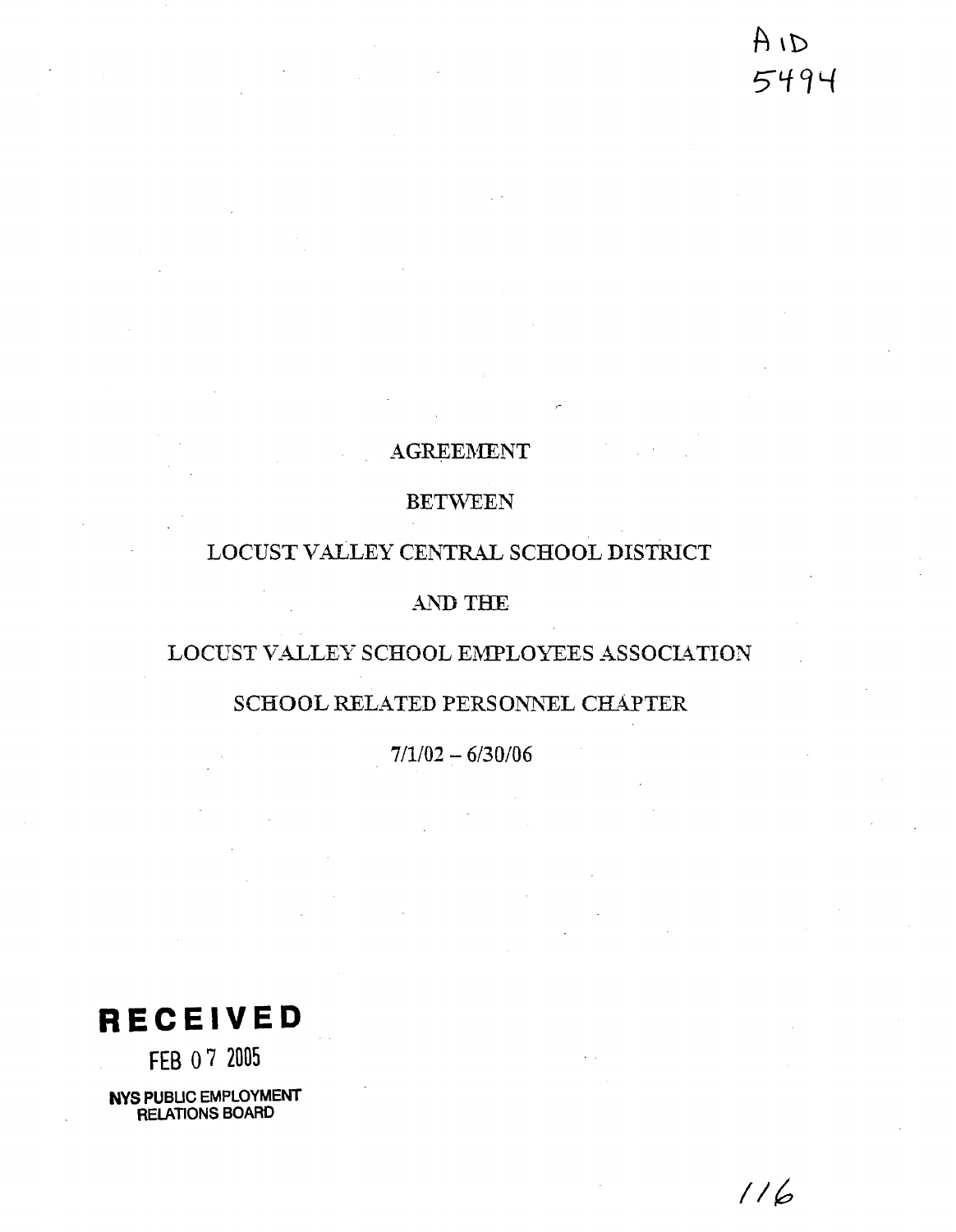# ai A 5494

 $116$ 

# **AGREEMENT**

# BETWEEN

## LOCUST VALLEY CENTR4L SCHOOL DISTRICT

## AND THE

# LOCUST VALLEY SCHOOL EMPLOYEES ASSOCIATION

## SCHOOL RELATED PERSONNEL CHAPTER

 $7/1/02 - 6/30/06$ 

**RECEIVED** 

FEB 0 **7** 2005

**NYS PUBLIC EMPLOYMENT RELATIONS BOARD**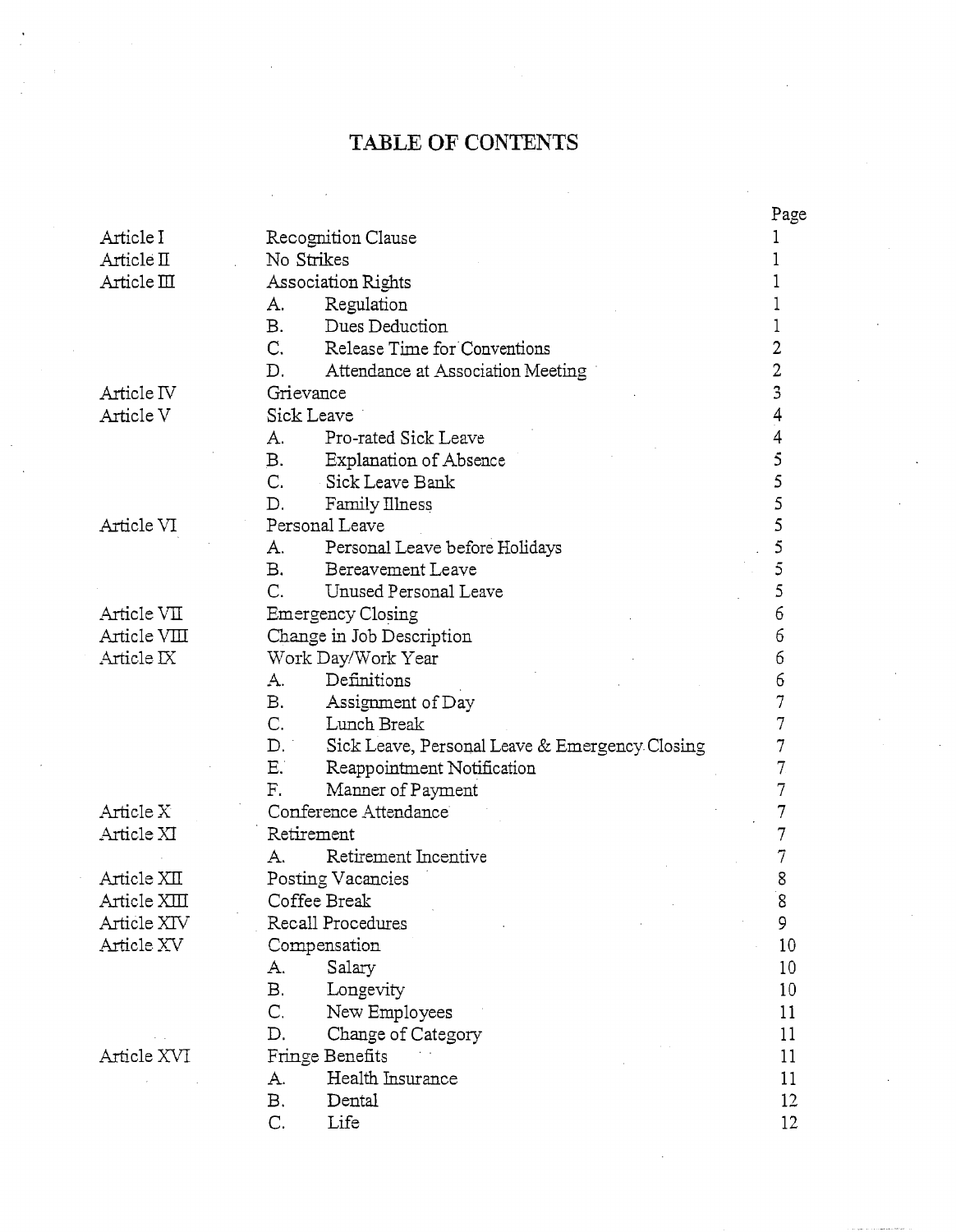# **TABLE OF** CONTENTS

|                    |                                                      | Page   |  |
|--------------------|------------------------------------------------------|--------|--|
| Article I          | Recognition Clause                                   |        |  |
| Article II         | No Strikes                                           |        |  |
| Article $\rm{III}$ | Association Rights                                   |        |  |
|                    | Regulation<br>A.                                     |        |  |
|                    | Dues Deduction<br><b>B.</b>                          |        |  |
|                    | C.<br>Release Time for Conventions                   | 2      |  |
|                    | D.<br>Attendance at Association Meeting              | 2      |  |
| Article IV         | Grievance                                            | 3      |  |
| Article V          | Sick Leave                                           | 4      |  |
|                    | Pro-rated Sick Leave<br>А.                           |        |  |
|                    | <b>B.</b><br>Explanation of Absence                  | 5      |  |
|                    | C.<br>Sick Leave Bank                                | 5      |  |
|                    | D.<br>Family Illness                                 | 5      |  |
| Article VI         | Personal Leave                                       | 5      |  |
|                    | A.<br>Personal Leave before Holidays                 | 5      |  |
|                    | <b>B.</b><br><b>Bereavement Leave</b>                | 5      |  |
|                    | C.<br>Unused Personal Leave                          | 5      |  |
| Article VII        | Emergency Closing                                    | 6      |  |
| Article VIII       |                                                      | 6      |  |
|                    | Change in Job Description                            | 6      |  |
| Article IX         | Work Day/Work Year                                   |        |  |
|                    | Definitions<br>A.                                    | 6      |  |
|                    | <b>B.</b><br>Assignment of Day                       | 7      |  |
|                    | C.<br>Lunch Break                                    | 7      |  |
|                    | D.<br>Sick Leave, Personal Leave & Emergency Closing | 7      |  |
|                    | Ε.<br>Reappointment Notification                     | 7      |  |
|                    | F.<br>Manner of Payment                              | 7      |  |
| Article X          | Conference Attendance                                |        |  |
| Article XI         | Retirement                                           | 7      |  |
|                    | Retirement Incentive<br>A.                           |        |  |
| Article XII        | Posting Vacancies                                    | 8      |  |
| Article XIII       | Coffee Break                                         | Q<br>ں |  |
| Article XIV        | 9<br>Recall Procedures                               |        |  |
| Article XV         | Compensation                                         | 10     |  |
|                    | А.<br>Salary                                         | 10     |  |
|                    | В.<br>Longevity                                      | 10     |  |
|                    | C.<br>New Employees                                  | 11     |  |
|                    | D.<br>Change of Category                             | 11     |  |
| Article XVI        | Fringe Benefits                                      | 11     |  |
|                    | Health Insurance<br>А.                               | 11     |  |
|                    | В.<br>Dental                                         | 12     |  |
|                    | C.<br>Life                                           | 12     |  |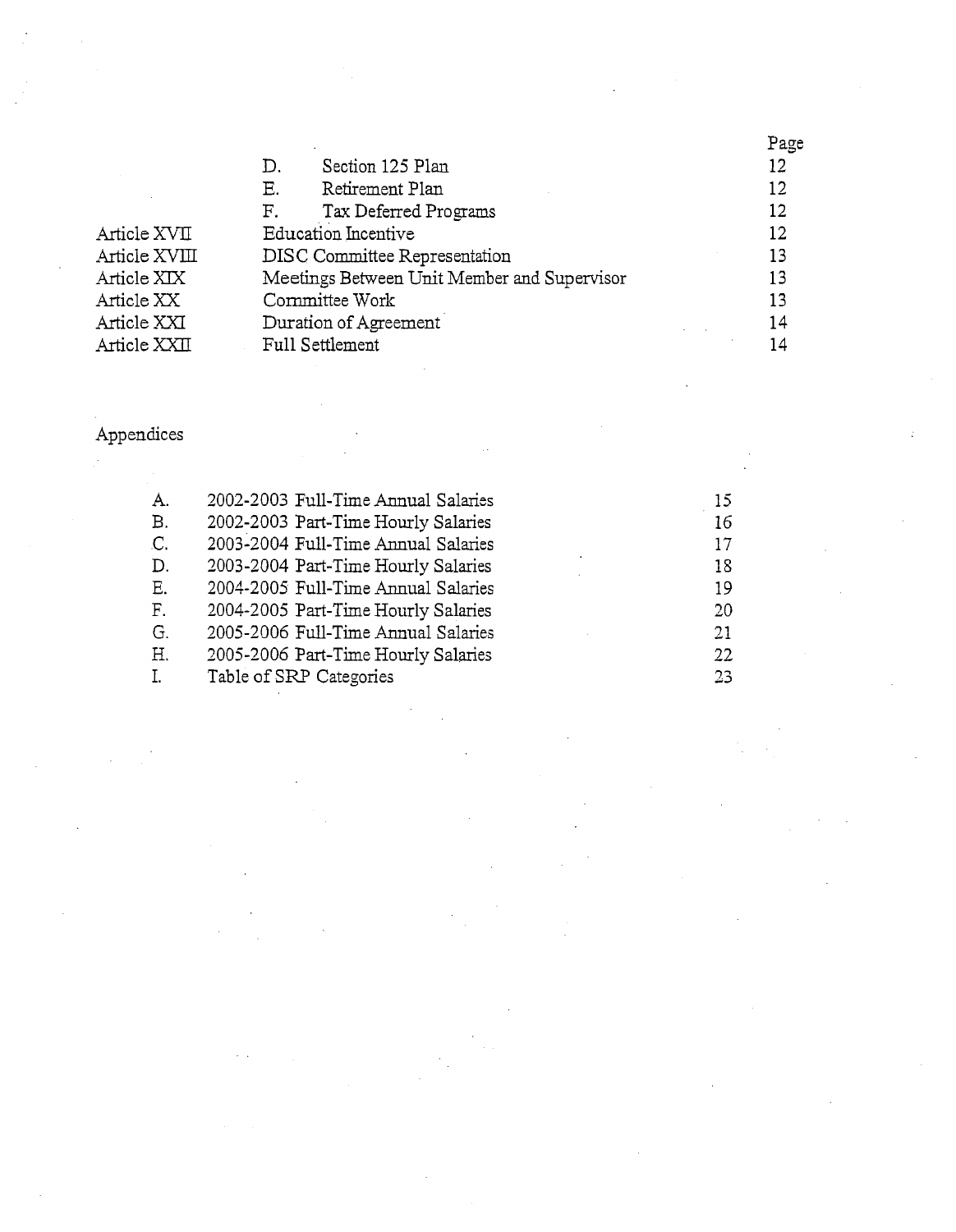|               |                                             |                            | Page |
|---------------|---------------------------------------------|----------------------------|------|
|               | D.                                          | Section 125 Plan           | 12   |
|               | Ε.                                          | Retirement Plan            | 12   |
|               | F.                                          | Tax Deferred Programs      | 12   |
| Article XVII  |                                             | <b>Education</b> Incentive | 12   |
| Article XVIII | DISC Committee Representation               |                            | 13   |
| Article XIX   | Meetings Between Unit Member and Supervisor |                            | 13   |
| Article XX    | Committee Work                              |                            | 13   |
| Article XXI   | Duration of Agreement                       |                            | 14   |
| Article XXII  |                                             | Full Settlement            | 14   |
|               |                                             |                            |      |

# Appendices

 $\ddot{\phantom{0}}$ 

| А. | 2002-2003 Full-Time Annual Salaries | 15. |
|----|-------------------------------------|-----|
| В. | 2002-2003 Part-Time Hourly Salaries | 16  |
| C. | 2003-2004 Full-Time Annual Salaries | 17  |
| D. | 2003-2004 Part-Time Hourly Salaries | 18  |
| E. | 2004-2005 Full-Time Annual Salaries | 19  |
| F. | 2004-2005 Part-Time Hourly Salaries | 20  |
| G. | 2005-2006 Full-Time Annual Salaries | 21  |
| Η. | 2005-2006 Part-Time Hourly Salaries | 22  |
|    | Table of SRP Categories             | 23. |
|    |                                     |     |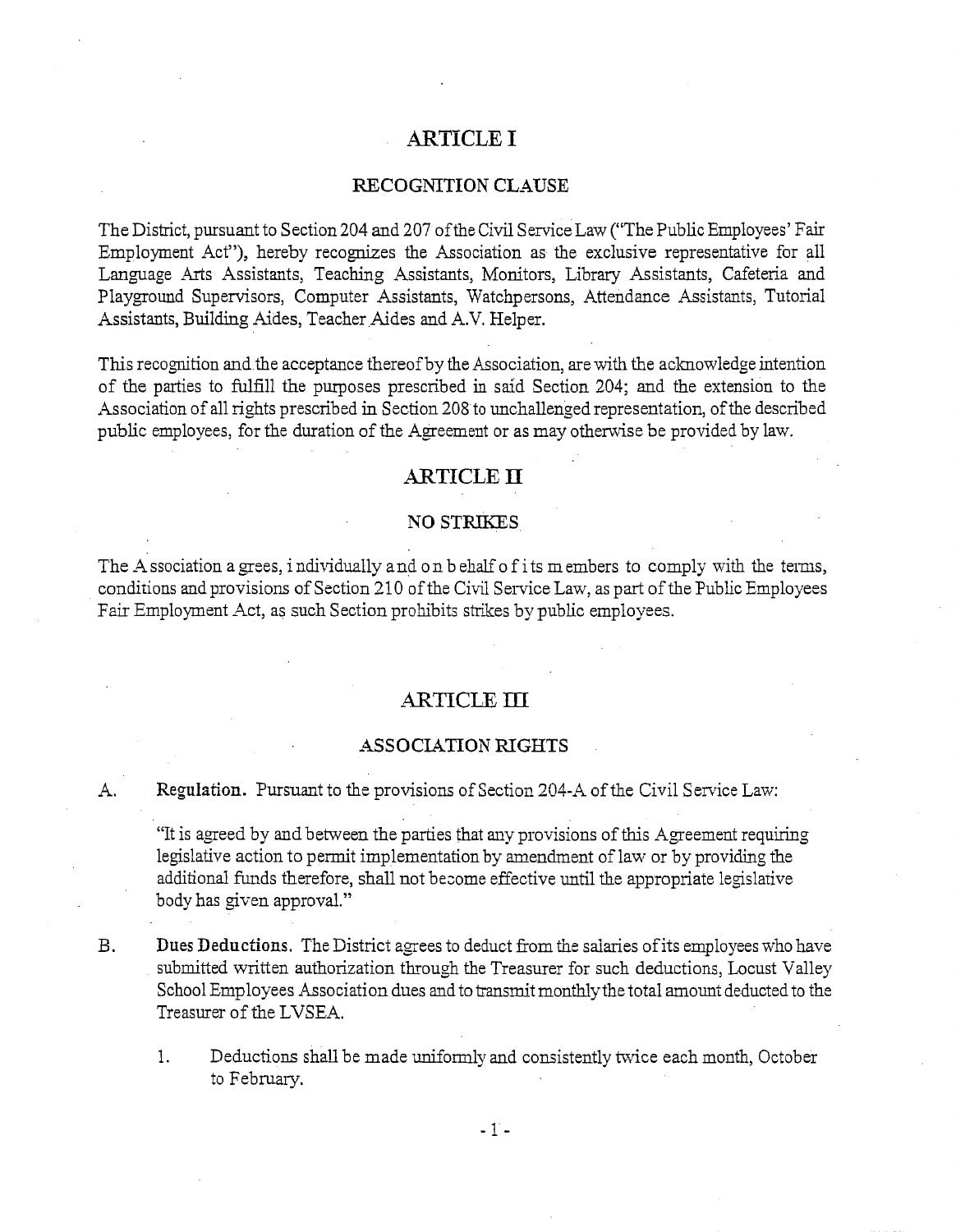## **ARTICLE I**

#### RECOGNITION CLAUSE

The District, pursuant to Section 204 and 207 of the Civil Service Law ("The Public Employees' Fair Employment Act"), hereby recognizes the Association as the exclusive representative for all Language Arts Assistants, Teaching Assistants, Monitors, Library Assistants, Cafeteria and Playground Supervisors, Computer Assistants, Watchpersons, Attendance Assistants, Tutorial Assistants, Building Aides, Teacher Aides and A.V. Helper.

This recognition and the acceptance thereof by the Association, are with the acknowledge intention of the parties to fulfill the purposes prescribed in said Section 204; and the extension to the 4ssociation of all rights prescribed in Section 208 to unchallenged representation, of the described public employees, for the duration of the Agreement or as may otherwise be provided by law.

#### **ARTICLE 11**

#### **NO STRIKES**

The Association a grees, individually and on behalf of its m embers to comply with the terms, conditions and provisions of Section 210 of the Civil Service Law, as part of the Public Employees Fair Employment Act, as such Section prohibits strikes by public employees.

### -ARTICLE **III**

#### ASSOCIATION RIGHTS

A. Regulation. Pursuant to the provisions of Section 204-A of the Civil Service Law:

"It is agreed by and between the parties that any provisions of this Agreement requiring legislative action to permit implementation by amendment of law or by providing the additional funds therefore, shall not become effective until the appropriate legislative body has given approval."

B. Dues Deductions. The District agrees to deduct from the salaries of its employees who have submitted written authorization through the Treasurer for such deductions, Locust Valley School Employees Association dues and to transmit monthlythe total amount deducted to the Treasurer of the LVSEA.

1. Deductions shall be made uniformly and consistently twice each month, October to February.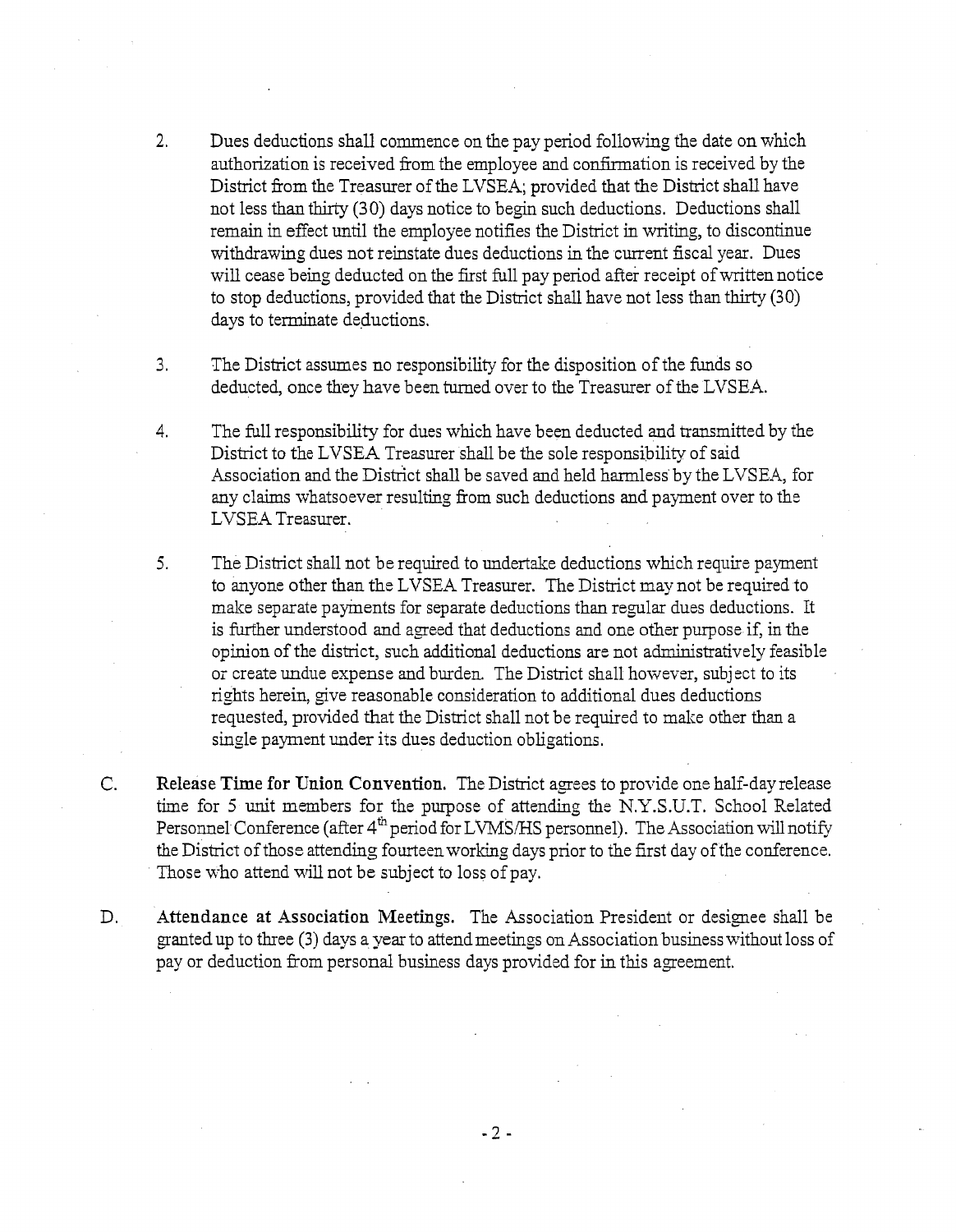- **2.** Dues deductions shall commence on the pay period foliowing the date on which authorization is received from the employee and confirmation is received by the District from the Treasurer of the LVSEA; provided that the District shall have not less than thirty (30) days notice to begin such deductions. Deductions shall remain in effect until the employee notifies the District in writing, to discontinue withdrawing dues not reinstate dues deductions in the current fiscal year. Dues will cease being deducted on the first full pay period after receipt of written notice to stop deductions, provided that the District shall have not less than thirty (30) days to terminate deductions.
- 3. The District assumes no responsibility for the disposition of the funds so deducted, once they have been turned over to the Treasurer of the LVSEA.
- 4. The full responsibility for dues which have been deducted and transmitted by the District to the LVSEA Treasurer shall be the sole responsibility of said Association and the District shall be saved and held harmless by the LVSEA, for any claims whatsoever resulting from such deductions and payment over to the LVSEA Treasurer.
- 5. The District shall not be required to undertake deductions which require payment to anyone other than the LVSEA Treasurer. The District may not be required to make separate payments for separate deductions than regular dues deductions. It is further understood and agreed that deductions and one other purpose if, in the opinion of the district, such additional deductions are not admimstratively feasible or create undue expense and burden. The District shall however, subject to its rights herein, give reasonable consideration to additional dues deductions requested, provided that the District shall not be required to make other than a single payment under its dues deduction obligations.
- C. Release Time for Union Convention. The District agrees to provide one half-dayrelezse time for 5 unit members for the purpose of attending the N.Y.S.U.T. School Related Personnel Conference (after 4<sup>th</sup> period for LVMS/HS personnel). The Association will notify the District of those attending fourteenworking days prior to the first day of the conference. Those who attend will not be subject to loss of pay.
- D. Attendance at Association Meetings. The Association President or designee shall be granted up to three (3) days a year to attendmeetings on Association business without loss of pay or deduction from personal business days provided for in this agreement.

 $-2-$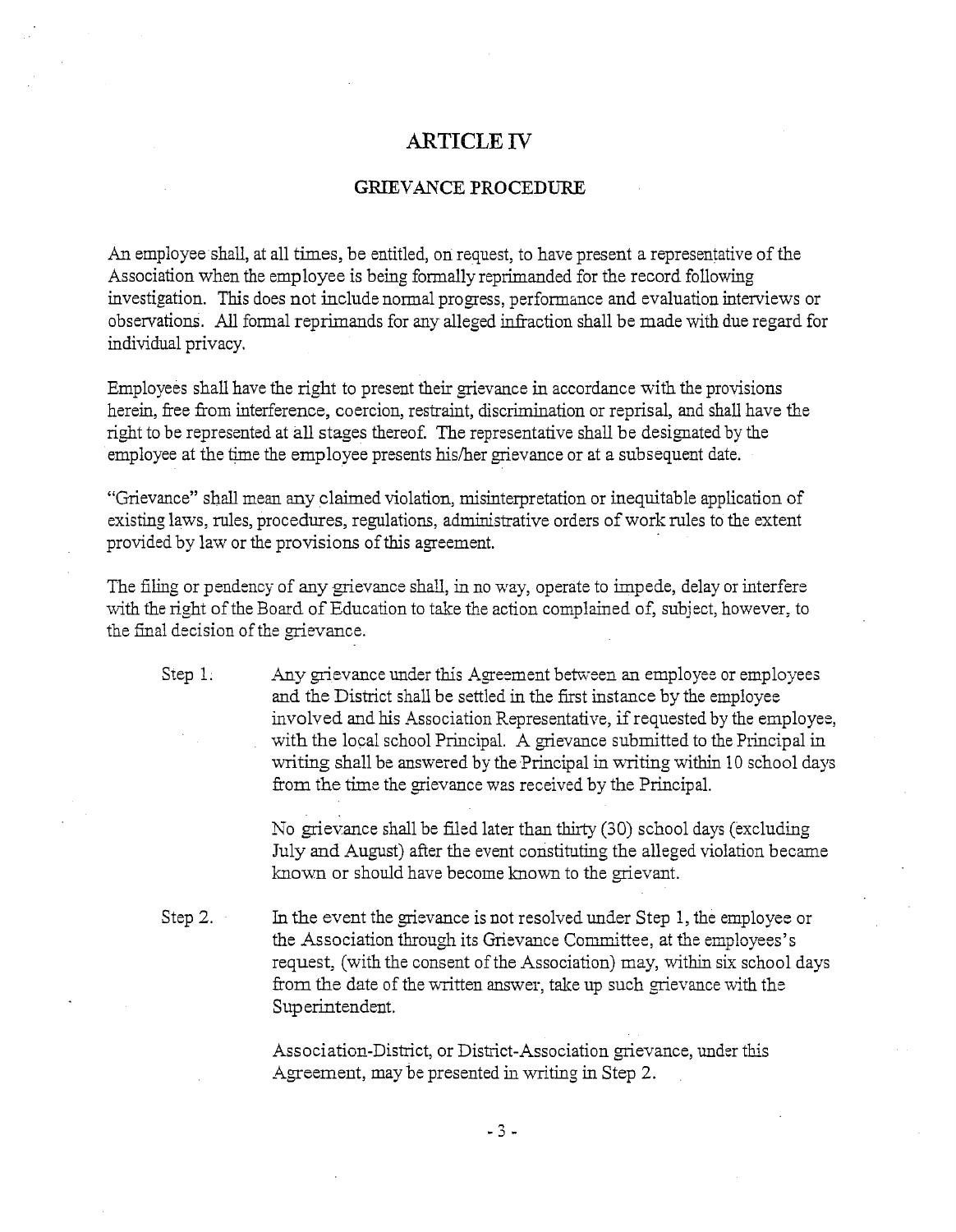## **ARTICLE IT**

#### GRIEVANCE PROCEDURE

An employee shall, at all times, be entitled, on request, to have present a representative of the Association when the employee is being formally reprimanded for the record following investigation. This does not include normal progress, performance and evaluation interviews or observations. All formal reprimands for any alleged infraction shall be made with due regard for individual privacy.

Employees shall have the right to present their grievance in accordance with the provisions herein, free from interference, coercion, restraint, discrimination or reprisal, and shall have the right to be represmted at all stages thereof. The representative shall be designated by the employee at the time the employee presents his/her grievance or at a subsequent date.

"Grievance" shall mean any claimed violation, misinterpretation or inequitable application of existing laws, rules, procedures, regulations, administrative orders of work rules to the extent provided by law or the provisions of this agreement.

The filing or pendency of any grievance shall, in no way, operate to impede, delay or interfere with the right of the Board of Education to take the action complained of, subject, however, to the final decision of the grievance.

Step 1.  $\Delta$ ny grievance under this Agreement between an employee or employees 2nd the District shall be settled in the first instance by the employee involved and his Association Representative, if requested by the employee, with the local school Principal. A grievance submitted to the Principal in writing shall be answered by the Principal in writing within 10 school days from the time the grievance was received by the Principal.

> No grievance shall be filed later than thirty (30) school days (excluding July and August) after the event constituting the alleged violation became known or should have become known to the grievant.

Step 2. In the event the grievance is not resolved under Step 1, the employee or the Association through its Grievance Committee, at the employees's request, (with the consent of the Association) may, within six school days from the date of the written answer, take up such grievance with the Superintendent.

> Association-District, or District-Association grievance, under this Agreement, may be presented in writing in Step 2.

> > $-3 -$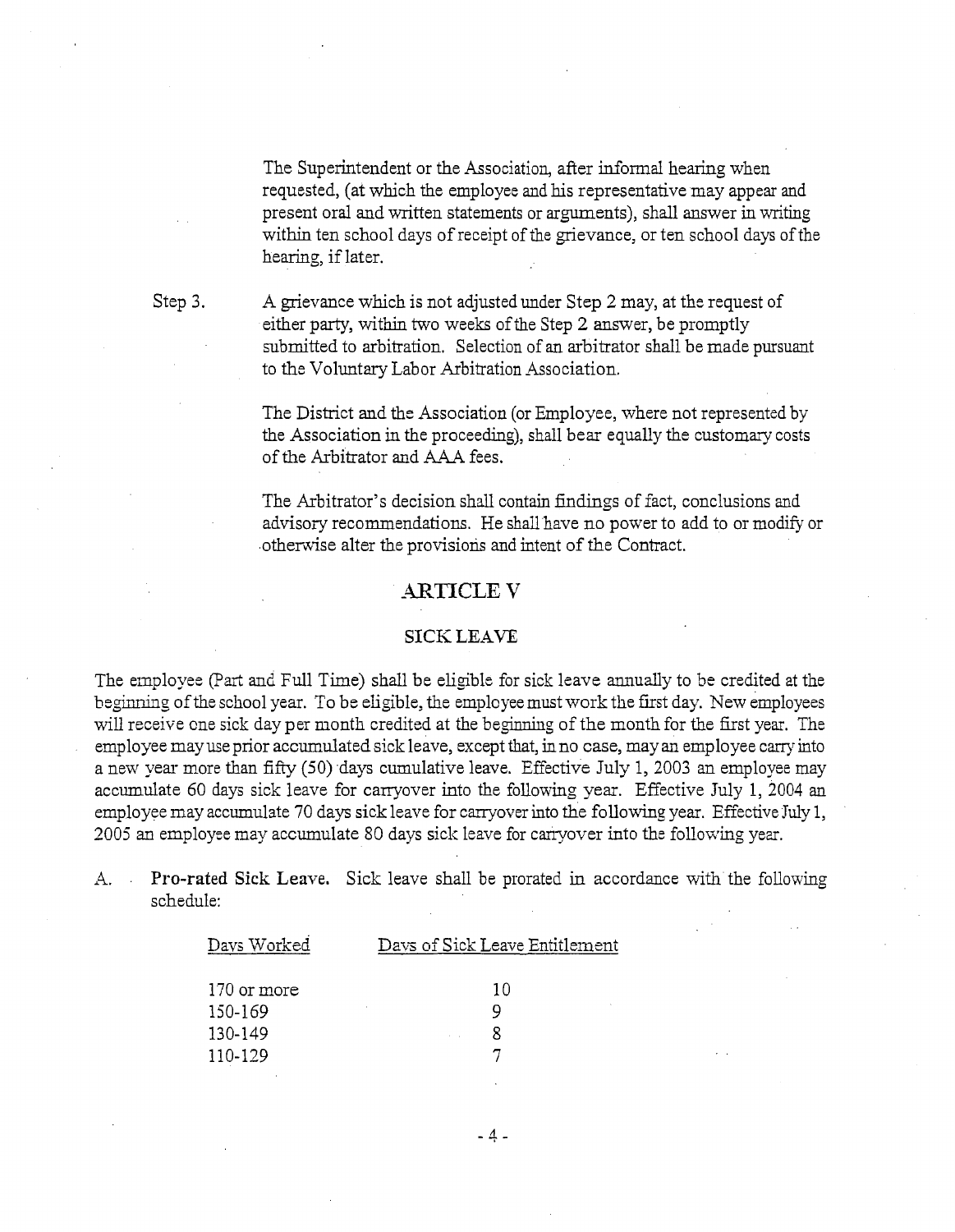The Superintendent or the Association, after informal hearing when requested, (at which the employee and his representative may appear and present oral and written statements or arguments), shall answer in writing within ten school days of receipt of the grievance, or ten school days of the hearing, if later.

Step 3.

A grievance which is not adjusted under Step 2 may, at the request of either party, within two weeks of the Step 2 answer, be promptly submitted to arbitration. Selection of an arbitrator shall be made pursuant to the Voluntary Labor Arbitration Association.

The District and the Association (or Employee, where not represented by the Association in the proceeding), shall bear equally the customary costs of the Arbitrator and A\_4A fees.

The Arbitrator's decision shall contain findings of fact, conclusions and advisory recommendations. He shall have no power to add to or modify or .otherwise alter the provisions and intent of the Contract.

## **ARTICLE V**

#### SICK **LEAVE**

The employee (Part and Full Time) shall be eligible for sick leave annually to be credited at the beginning of the school year. To be eligible, the employee must work the first day. New employees will receive one sick day per month credited at the beginning of the month for the first year. The employee may use prior accumulated sick leave, except that, in no case, may an employee carry into a new year more than fifty (50) days cumulative leave. Effective July 1, 2003 an employee may accumulate 60 days sick leave for carryover into the following year. Effective July 1, 2004 an employee may accumulate 70 days sick leave for carryover into the following year. Effective July 1, 2005 an employee may accumulate 80 days sick leave for canyover into the following yezr.

A. . Pro-rated Sick Leave. Sick leave shall be prorated in accordance with the following schedule:

| Days Worked | Days of Sick Leave Entitlement |
|-------------|--------------------------------|
|             |                                |
| 170 or more | 10                             |
| 150-169     |                                |
| 130-149     |                                |
| 110-129     |                                |
|             |                                |

 $-4-$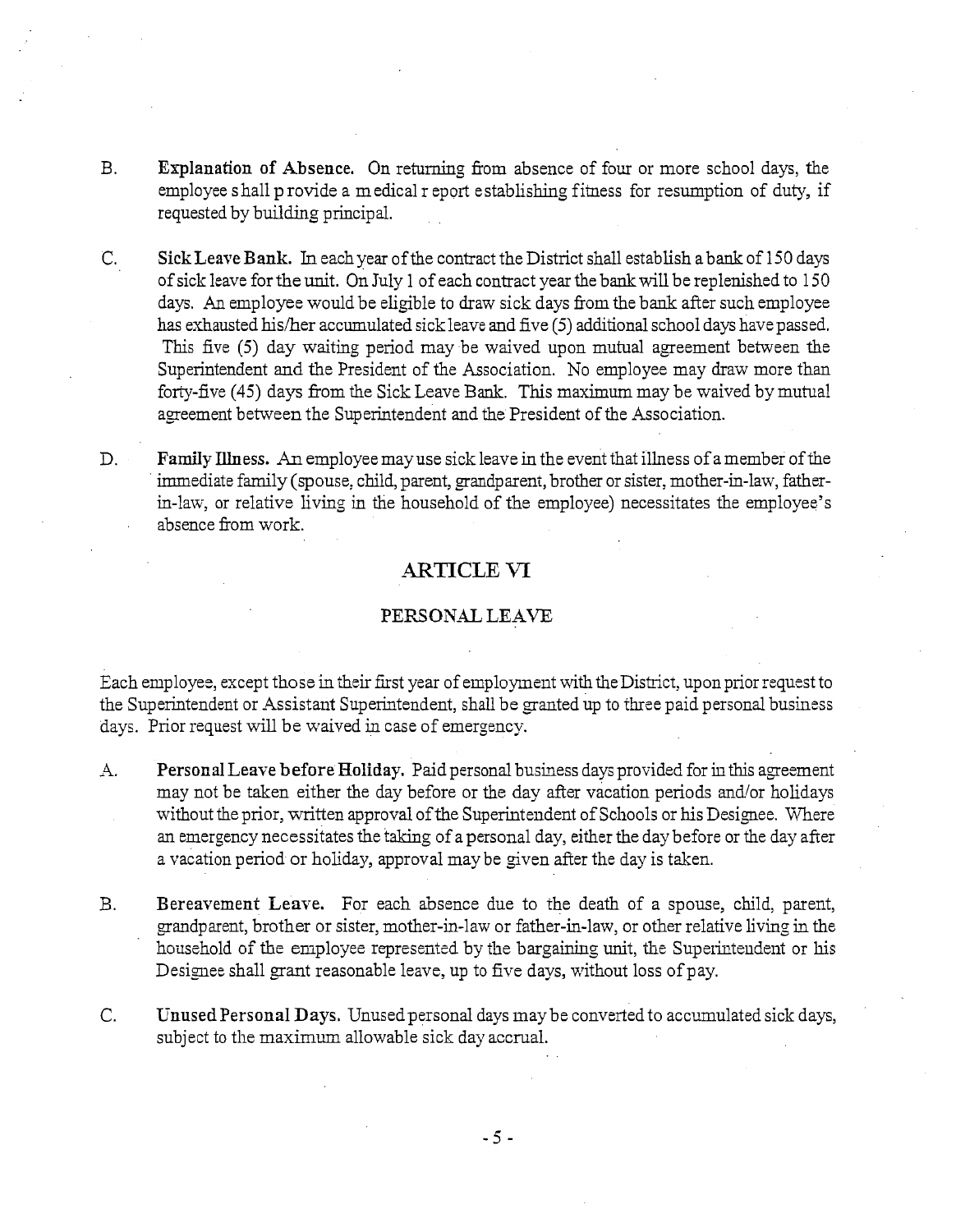- B. Explanation of Absence. On returning fiom absence of four or more school days, the employee shall p rovide a medical r eport establishing fitness for resumption of duty, if requested by building principal.
- C. Sick Leave Bank. In each year of the contract the District shall establish a bank of 150 days of sick leave for the unit. On July 1 of each contract year the bank will be replenished to 150 days. An employee would be eligible to draw sick days from the bank after such employee has exhausted his/her accumulated sickleave and five (5) additional school days have passed. This five (5) day waiting period may be waived upon mutual agreement between the Superintendent and the President of the Association. No employee may draw more than forty-five (45) days from the Sick Leave Bank. This maximum may be waived by mutual agreement between the Superintendent and the President of the Association.
- D. Family Illness. An employee may use sick leave in the event that illness of amember of the immediate family (spouse: child, parent, grandparent, brother or sister, mother-in-law, fatherin-law, or relative living in the household of the employee) necessitates the employee's absence from work.

## **ARTICLE VI**

#### PERSONAL LEAVE

Each employee, except those in their first year of employment with the District, upon prior request to the Superintendent or Assistant Superintendent, shall be granted up to three paid personal business days. Prior request will be waived in case of emergency.

- A. Personal Leave before Holiday. Paid personal business days provided for in this agreement may not be taken either the day before or the day after vacation periods and/or holidays without the prior, written approval of the Superintendent of Schools or his Designee. Where an emergency necessitates the taking of apersonal day, either the day before or the day after a vacation period or holidzy, approval may be given after the day is taken.
- B. Bereavement Leave. For each absence due to the death of a spouse, child, parent, grandparent, brother or sister, mother-in-law or father-in-law, or other relative living in the household of the employee represented by the bargaining unit, the Superintendent or his Designee shall grant reasonable leave, up to five days, without loss of pay.
- C. Unused Personal Days. Unused personal days may be converted to accumulated sick days, subject to the maximum allowable sick day accrual.

 $-5-$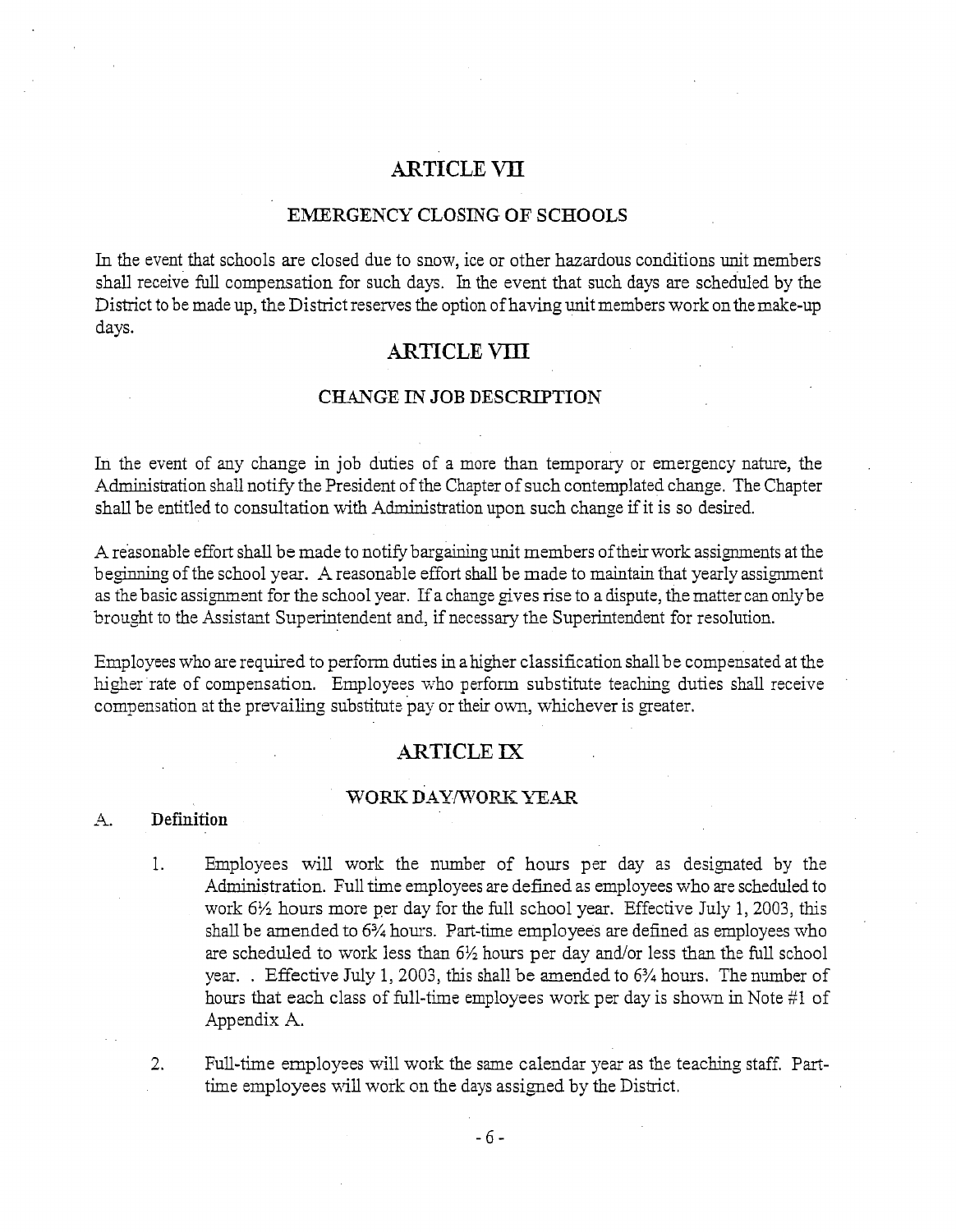# **ARTICLE VII**

#### EMERGENCY CLOSING OF SCHOOLS

In the event that schools are closed due to snow, ice or other hazardous conditions unit members shall receive full compensation for such days. In the event that such days are scheduled by the District to be made up, the District reserves the option of having unit members work on themake-up days.

## **ARTICLE VIII**

#### CH4NGE IN JOB DESCRIPTION

In the event of any change in job duties of a more than temporary or emergency nature, the Administration shall notify the President of the Chapter of such contemplated change. The Chapter shall be entitled to consultation with Administration upon such change if it is so desired.

A reasonable effort shall be made to notify bargaining unit members of their work assignments at the beginning of the school year. A reasonable effort shall be made to maintain that yearly assignment as the basic assignment for the school year. If a change gives rise to a dispute, the matter can only be brought to the Assistant Superintendent and, if necessary the Superintendent for resolurion.

Employees who are required to perform duties in a higher classification shall be compensated at the higher rate of compensation. Employees who perform substitute teaching duties shall receive compensation at the prevailing substitute pay or their own, whichever is greater.

## ARTICLE **IX**

#### WORK DAY/WORK YEAR

#### . Definition

1. Employees will work the number of hours per day as designated by the Administration. Full time employees are defined as employees who are scheduled to work 6<sup>1</sup>/<sub>2</sub> hours more per day for the full school year. Effective July 1, 2003, this shall be amended to 6% hours. Part-time employees are defined as employes who are scheduled to work iess than 6% hours per day and/or less than the full school year. . Effective July 1, 2003, this shall be amended to  $6\frac{3}{4}$  hours. The number of hours that each class of full-time employees work per day is shown in Note #1 of Appendix A.

*2.* Full-time employees will work the same calendar year as the teaching staff, Parttime employees will work on the days assigned by the District.

 $-6-$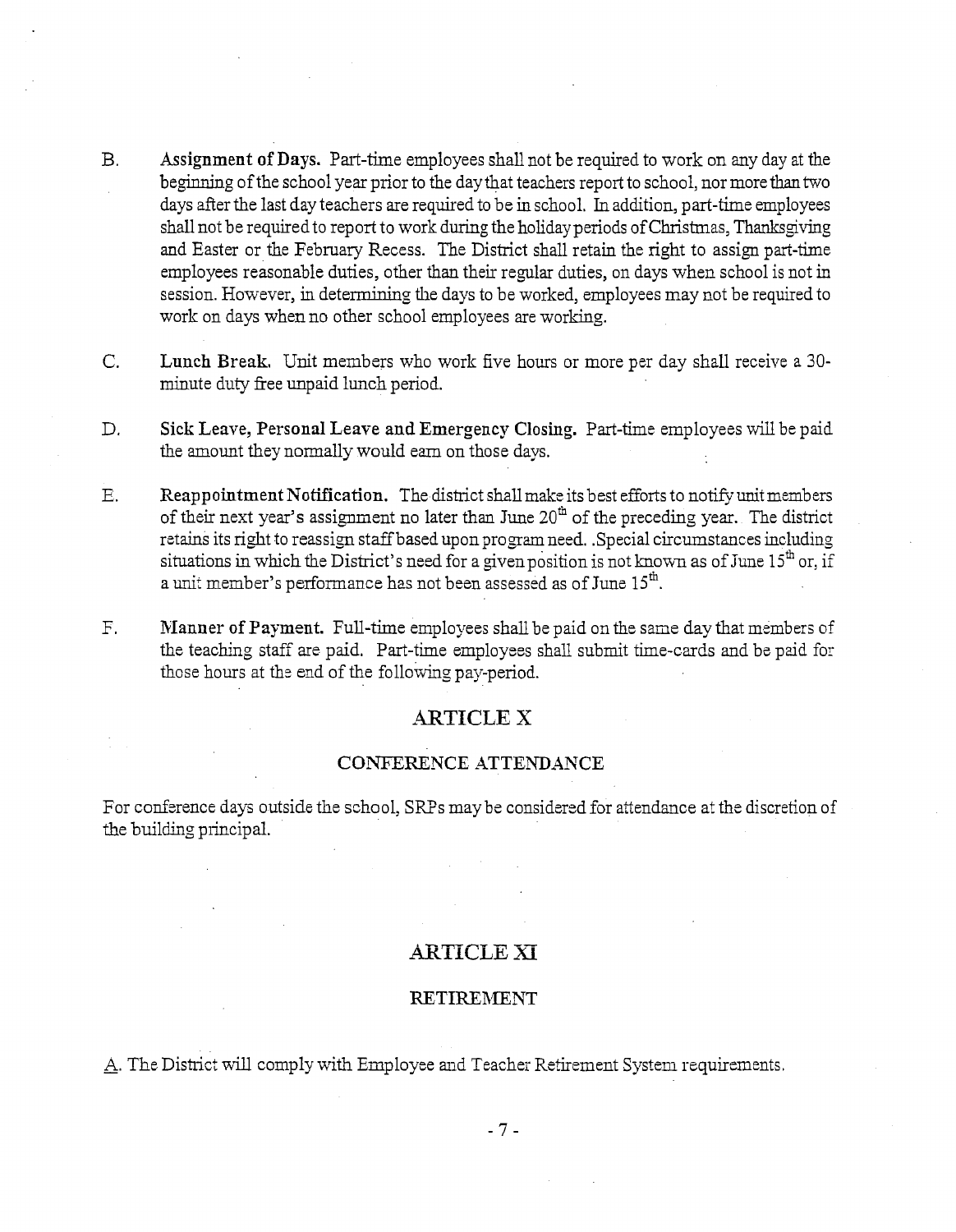- $B<sub>1</sub>$ Assignment of Days. Part-time employees shall not be required to work on any day at the beginning of the school year prior to the day that teachers report to school, nor more than two days after the last day teachers are required to be in school. In addition, part-time employees shall not be required to report to work during the holiday periods of Christmas, Thanksgiving and Easter or the February Recess. The District shall retain the right to assign part-time employees reasonable duties, other than their regular duties, on days when school is not in session. However, in determining the days to be worked, employees may not be required to work on days when no other school employees are working.
- $\mathbf{C}$ . Lunch Break. Unit members who work five hours or more per day shall receive a 30minute duty free unpaid lunch period.
- $D<sub>1</sub>$ Sick Leave, Personal Leave **and** Emergency Closing. Put-time employees will be paid the amount they normally would em on those days.
- Reappointment Notification. The district shall make its best efforts to notify unit members  $F_{\rm{c}}$ of their next year's assignment no later than June 20" of the preceding year. The district of their flext year's assignment no later than June 20 of the preceding year. The district<br>retains its right to reassign staff based upon program need. Special circumstances including<br>situations in which the District's ne retains its right to reassign staff based upon program need. .Special circumstances including a unit member's performance has not been assessed as of June  $15<sup>th</sup>$ .
- $F_{\perp}$ Manner of Payment. Full-time employees shall be paid on the same day that members of the teaching staff are paid. Part-time employees shall submit time-cards and be paid for those hours at the end of the following pay-period.

## **ARTICLE X**

#### CONFERENCE ATTENDANCE

For conference days outside the school, SRPs may be considered for attendance at the discretion of the building principal.

## ARTICLE Xi

#### **RETIREMENT**

A. The District will comply with Employee and Teacher Retirement System requirements.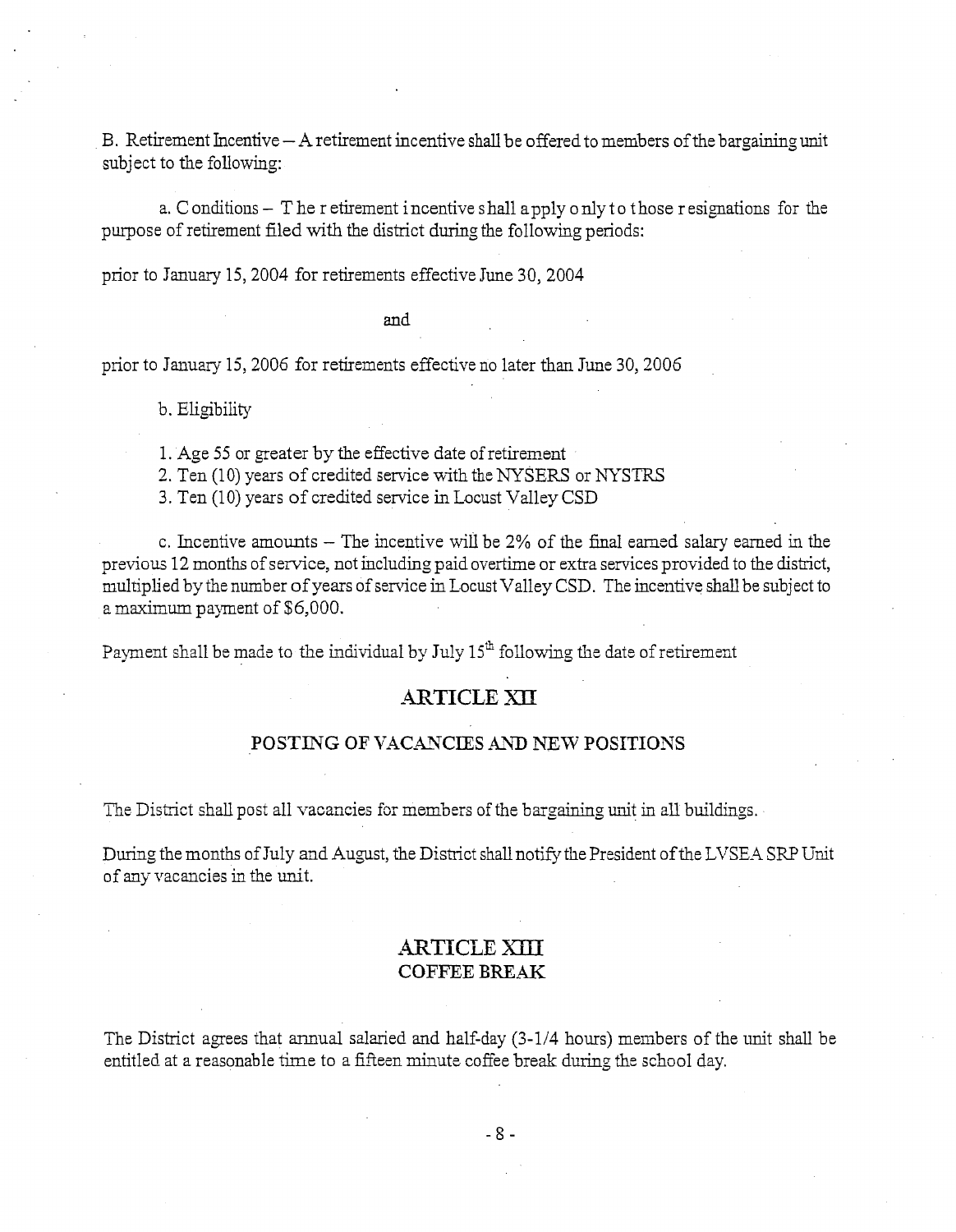B. Retirement Incentive  $- A$  retirement incentive shall be offered to members of the bargaining unit subject to the following:

a. C onditions  $-$  T he r etirement incentive shall a pply o nly to those r esignations for the purpose of retirement filed with the district during the following periods:

prior to January 15,2004 for retirements effective June 30, 2004

and

prior to January 15,2006 for retirements effective no later than June 30,2006

b. Eligibility

1. Age 55 or greater by the effective date of retirenent

2. Ten (10) years of credited service with the NYSERS or WSTRS

3. Ten (10) years of credited service in Locust Valley CSD

c. Incentive amounts – The incentive will be 2% of the final earned salary earned in the previous 12 months of service, not including paid overtime or extra services provided to the district, multiplied by the number of years of service in Locust Valley CSD. The incentive shall be subject to a maximum payment of \$6,000.

Payment shall be made to the individual by July  $15<sup>th</sup>$  following the date of retirement

#### **-4FTICLE** *m*

#### POSTING OF VACANCIES AND NEW POSITIONS

The District shall post all vacancies for members of the bargaining unit in all buildings.

During the months of July and August, the District shall notify the President of the LVSEA SRP Unit of any vacancies in the unit.

## ARTICLE *TifII*  **COFFEE** BREAK

The District agrees that annual salaried and half-day  $(3-1/4)$  hours) members of the unit shall be entitled at a reasonable time to a fifteen minute coffee break during the school day.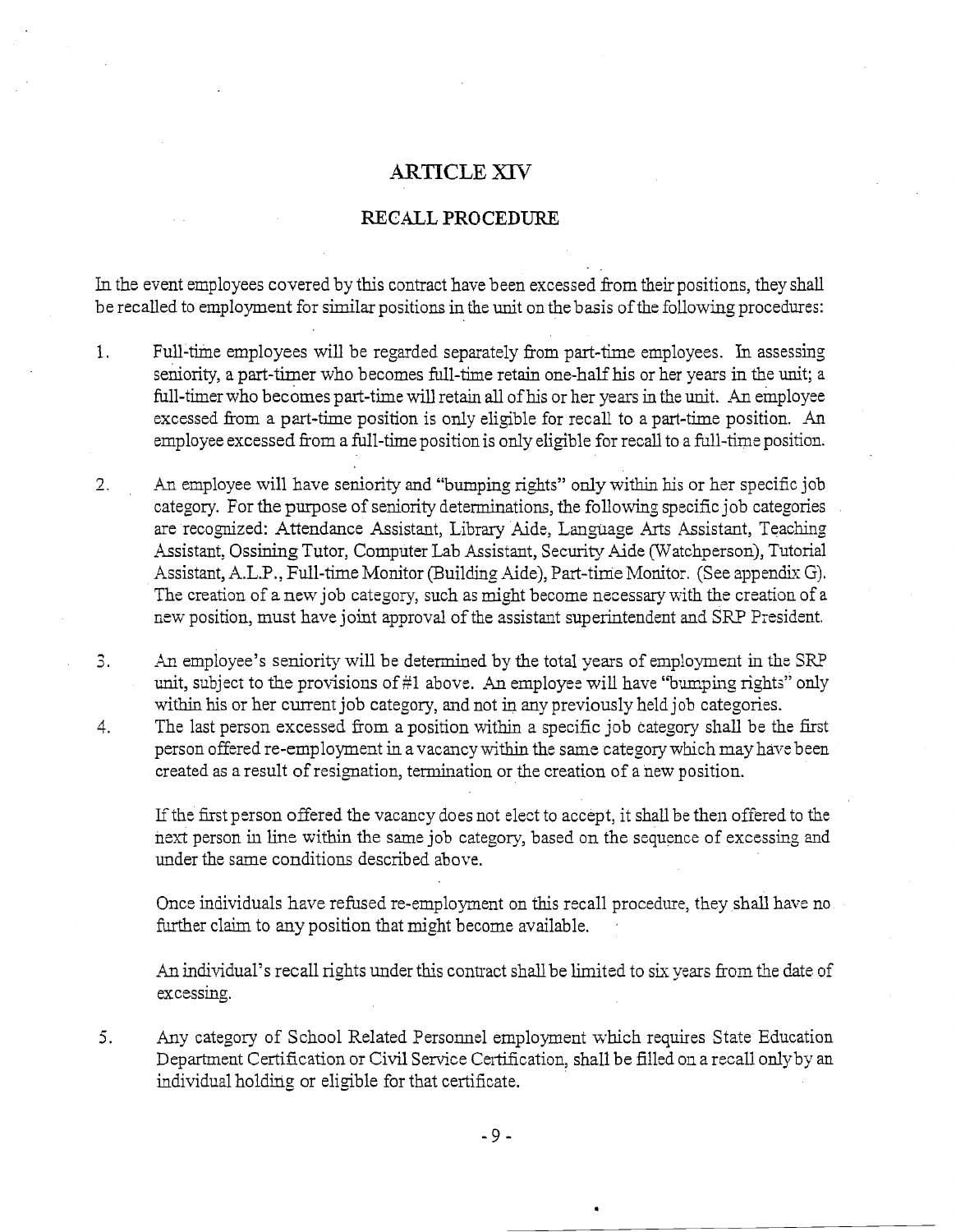## ARTICLE XIV

#### . . RECALL **PROCEDURE**

In the event employees covered by this contract have been excessed from their positions, they shall be recalled to employment for similar positions in the unit on the basis of the following procedures:

- 1. Full-time employees will be regarded separately from part-time employees. h assessing seniority, a part-timer who becomes full-time retain one-half his or her years in the unit; a full-timer who becomes part-time will retain all of his or her years in the unit. An employee excessed from a part-time position is only eligible for recall to a part-time position. An employee excessed from a full-time position is only eligible for recall to a full-time position.
- 2. An employee will have seniority and "bumping rights" only within his or her specific job category. For the purpose of seniority determinations, the following specific job categories are recognized: Attendance Assistant, Library Aide, Language Arts Assistant, Teaching Assistant: Ossining Tutor, Computer Lab Assistant, Security Aide (Watchperson), Tutorial Assistant, A.L.P., Full-time Monitor (Buildig Aide), Part-time Monitor. (See appendix G). The creation of a new job category, such as might become necessary with the creation of a new position, must have joint approval of the assistant superintendent and SRP President.
- $3.$ An employee's seniority will be determined by the total years of employment in the SRP unit, subject to the provisions of  $#1$  above. An employee will have "bumping rights" only within his or her current job category, and not in *any* previously held job categories.
- 4. The last person excessed from a position within a specific job category shall be the first person offered re-employment in avacancy within the same category which may have been created as a result of resignation, termination or the creation of a new position.

If the first person offered the vacancy does not elect to accept, it shall be then offered to the next person in line within the same job category, based on the sequence of excessing and under the same conditions described above.

Once individuals have refused re-employment on this recall procedure, they shall have no further claim to any position that might become available.

An individual's recall rights under this contract shall be limited to six years from the date of excessme.

5. Any category of School Related Personnel employment which requires State Education Department Certification or Civil Service Certification, shall be filled on a recall only by an individual holding or eligble for that certificate.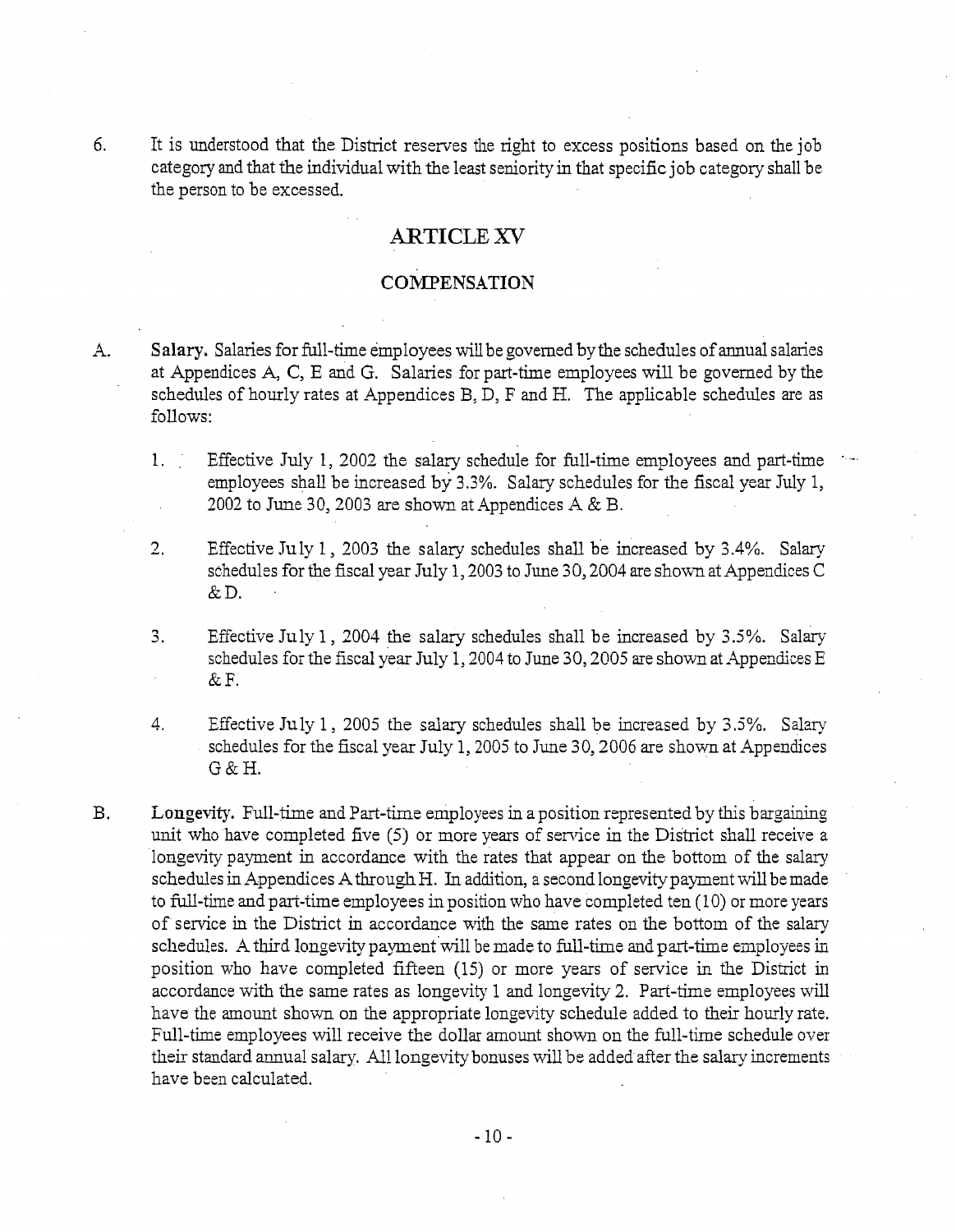6. It is understood that the District reserves the right to excess positions based on the job category and that the individual with the least seniority in that specific job category shall be the person to be excessed.

## **ARTICLE** *XV*

. .

#### **COMPENSATION**

- A. **Salary.** Salaries for full-time employees will be governed by the schedules of annual salaries at Appendices A, C, E and G. Salaries for part-time employees will be governed by the schedules of hourly rates at Appendices B, D, F and H. The applicable schedules are as follows:
	- 1. Effective July 1, 2002 the salary schedule for full-time employees and part-time employees shall be increased by 3.3%. Salary schedules for the fiscal year July 1, 2002 to June 30,2003 are shown at Appendices A **8;.** B.
	- **2.** Effective July 1 , 2003 the salary schedules shall be increased by 3.4%. Salary schedules for the fiscal year July 1,2003 to June 30,2004 are shown at Appendices C  $&D$ .
	- 3. Effective July 1, 2004 the salary schedules shall be increased by  $3.5\%$ . Salary schedules for the fiscal year July 1, 2004 to June 30, 2005 are shown at Appendices E  $&$  F.
	- 4. Effective July 1, 2005 the salary schedules shall be increased by  $3.5\%$ . Salary schedules for the fiscal year July 1,2005 to June 30,2006 are shown at Appendices G&H.
- B. **Longevity.** Full-time and Part-time employees in a position represented by this bargaining unit who have completed five (5) or more years of service in the District shall receive a longevity payment in accordance with the rates that appear on the bottom of the salary schedules in Appendices A through H. In addition, a second longevity payment will be made to full-time and part-time employees in position who have completed ten (10) or more years of service in the District in accordance with the same rates on the bottom of the salary schedules. A third longevity payment will be made to full-time and part-time employees in position who have completed fifteen (15) or more years of service in the District in accordance with the same rates as longevity 1 and longevity 2. Part-time employees will have the amount shown on the appropriate longevity schedule added to their hourly rate. Full-time employees will receive the dollar amount shown on the full-time schedule over their standard annual salary. All longevity bonuses will be added after the salary increments have been calculated.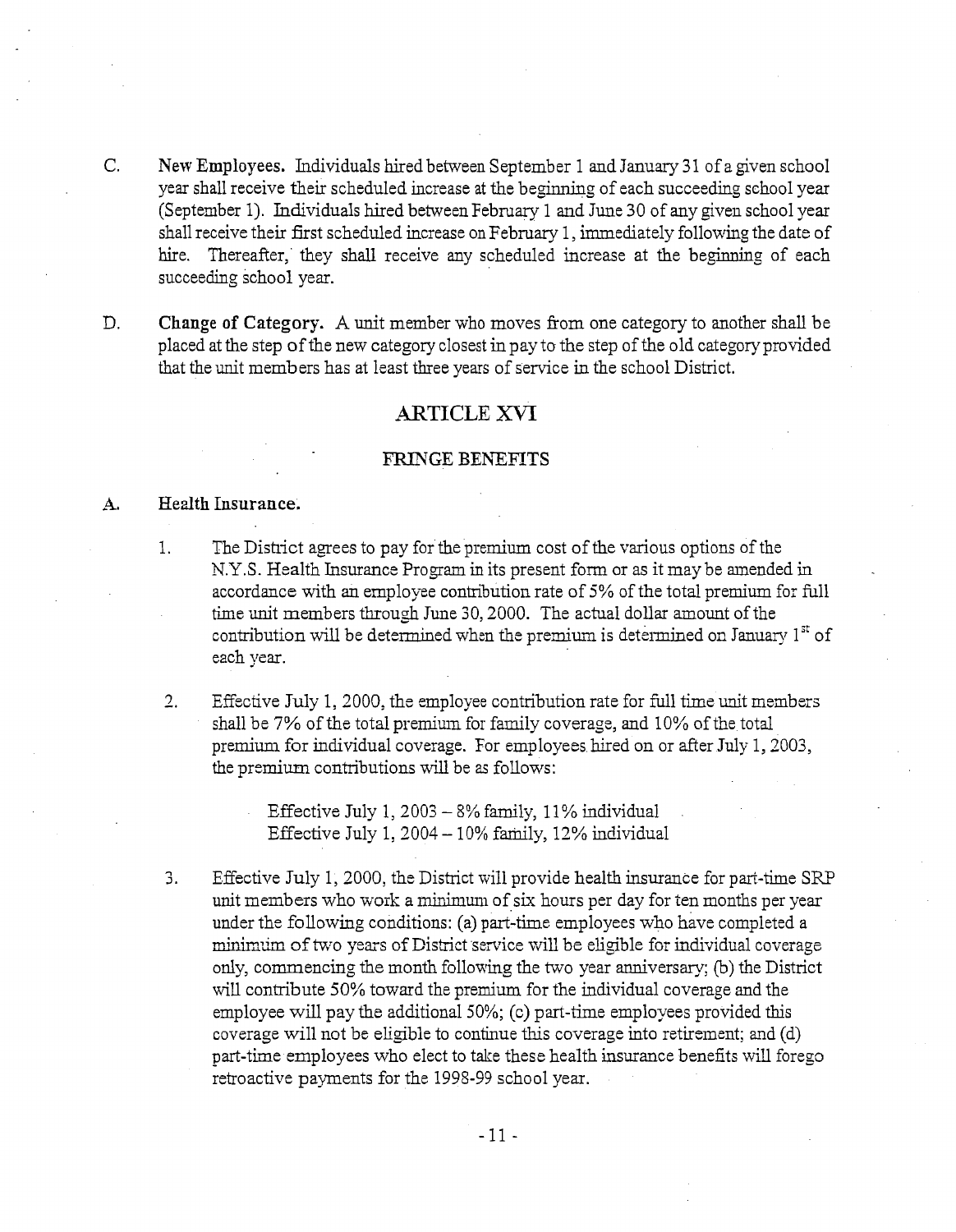- C. New Employees. Individuals hired between September 1 and January 31 of a given school year shall receive their scheduled increase at the beginning of each succeeding school year (September 1). Individuals hired between February 1 and June 30 of any given school year shall receive their first scheduled increase onFebruary 1, immediately following the date of hire. Thereafter, they shall receive any scheduled increase at the beginning of each succeeding school year.
- D. Change of **Category.** A unit member who moves from one category to another shall be placed at the step of the new category closest in pay to the step of the old category provided that the unit members has at least three years of service in the school District.

### **ARTICLE** XVI

#### **FRINGE BENEFITS**

#### A. **Health Insurance.**

- 1. The District agrees to pay for the premium cost of the various options of the N.Y.S. Health Insurance Program in its present form or as it may be amended in accordance with an employee contribution rate of 5% of the total premium for full time unit members through June 30,2000. The actual dollar amount of the contribution will be determined when the premium is determined on January  $1<sup>st</sup>$  of each year.
- 2. Effective July 1, 2000, the employee contribution rate for full time unit members shall be 7% of the total premium for family coverage, and 10% of the total premium for individual coverage. For employees hired on or after July 1,2003, the przmium contributions will be **as** follows:

Effective July 1,  $2003 - 8\%$  family,  $11\%$  individual Effective July 1,  $2004 - 10\%$  family,  $12\%$  individual

3. Effective July 1, 2000, the District will provide health insurance for part-time SRP unit members who work a minimum of six hours per day for ten months per year under the following conditions: (a) part-time employees who have completed a minimum of two years of District service will be eligible for individual coverage only, commencing the month following the two year anniversary; (b) the District will contribute 50% toward the premium for the individual coverage and the employee will pay the additional 50%; (c) part-time employees provided this coverage will not be eligible to continue this coverage into retirement; and (d) part-time employees who elect to take these health insurance benefits will forego retroactive payments for the 1995-99 school year.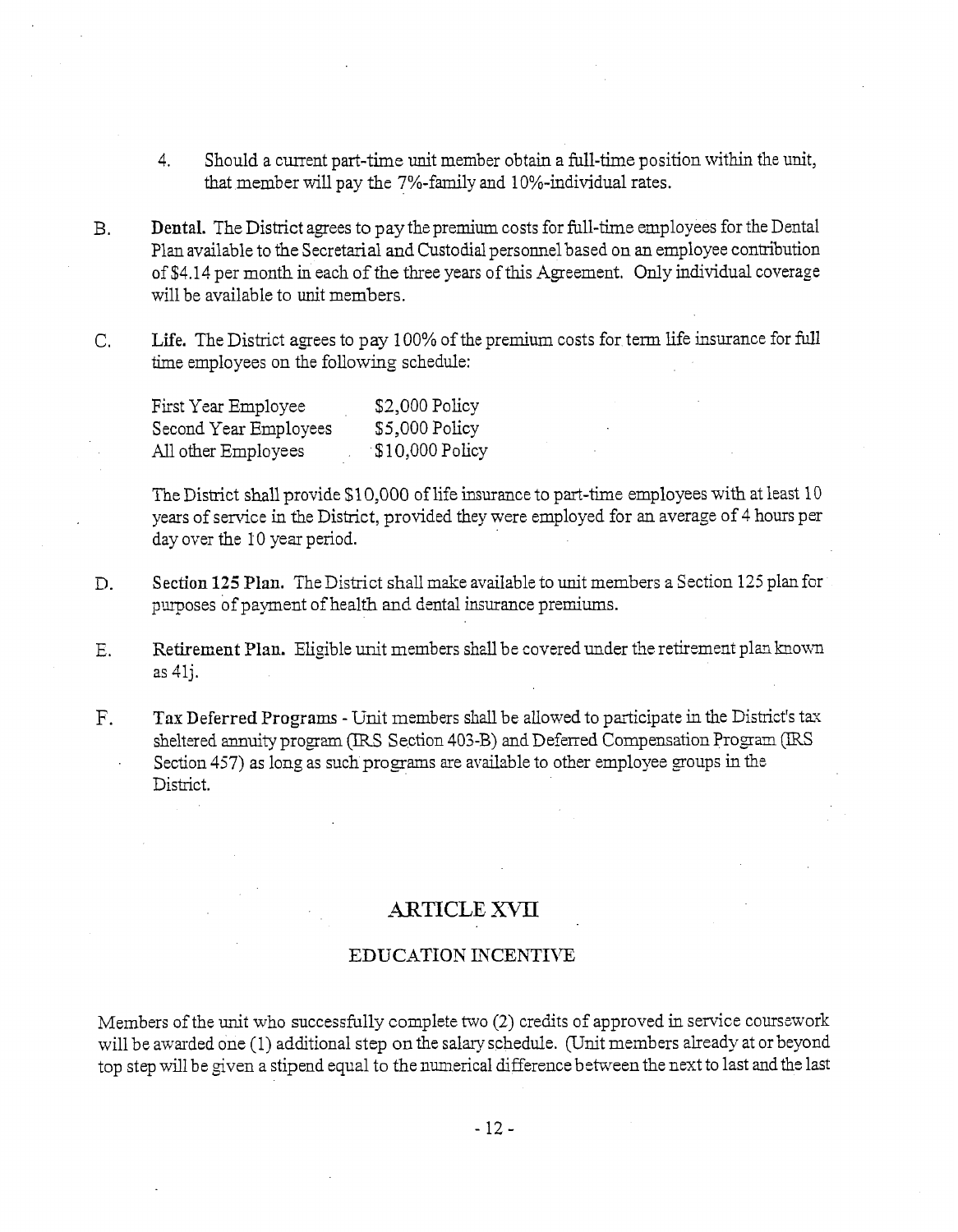- 4. Should a current part-time unit member obtain a full-time position within the unit, that member will pay the 7%-family and 10%-individual rates.
- B. Dental. The District agees to pay the premium costs for full-time employees for the Dental Plan available to the Secretarial and Custodial personnel based on an employee contribution of \$4.14 per month in each of the three years of this Agreement. Only individual coverage will be available to unit members.
- C. Life. The District agrees to pay 100% of the premium costs for term life insurance for full time employees on the following schedule:

| First Year Employee   | $$2,000$ Policy  |
|-----------------------|------------------|
| Second Year Employees | \$5,000 Policy   |
| All other Employees   | $$10,000$ Policy |

The District shall provide \$1 0,000 of life insurance to part-time employees with at least 10 years of service in the District, provided they were employed for an average of 4 hours per day over the 10 yezr period.

- D. Section 125 Plan. The District shall make available to unit members a Section 125 plan for purposes of payment of health and dental insurance premiums.
- E. Retirement Plan. Eligible unit members shall be covered under the retirement plan known as 41j.
- F. Tax Deferred Programs Unit members shall be allowed to participate in the District's tax sheltered annuity program (IRS Section 403-B) and Deferred Compensation Program (IRS Section 457) as long as such programs are available to other employee groups in the District.

## ARTICLE XVII

### EDUCATION INCENTIVE

Members of the unit who successfully complete two  $(2)$  credits of approved in service coursework will be awarded one (1) additional step on the salary schedule. (Unit members already at or beyond top step will be given a stipend equal to the numerical difference between the next to last and the last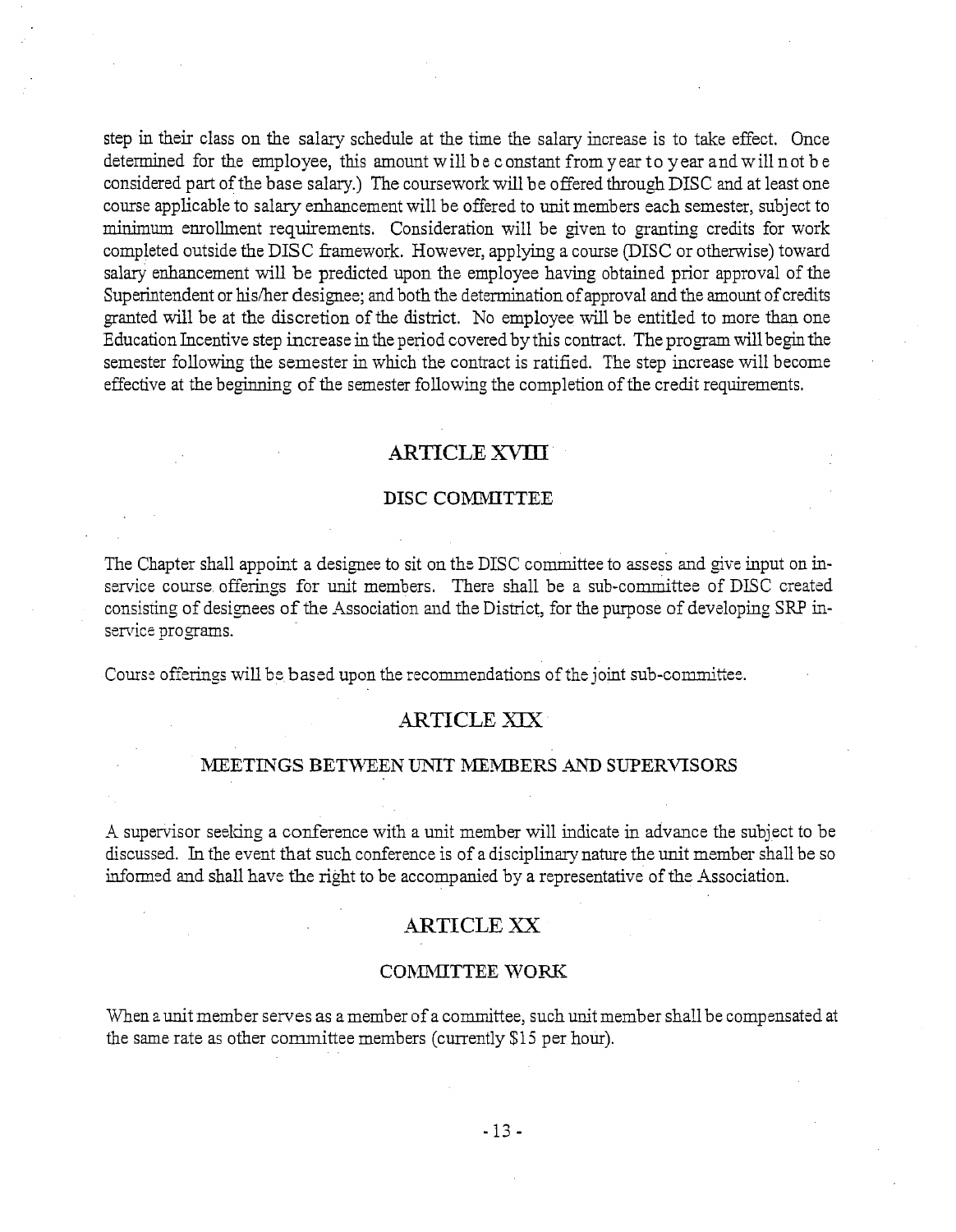step in their class on the salary schedule at the time the salary increase is to take effect. Once determined for the employee, this amount will b e constant from year to year and w ill not b e considered part of the base salary.) The coursework will be offered through DISC and at least one course applicable to salary enhancement will be offered to unit members each semester, subject to minimum enrollment requirements. Consideration will be given to granting credits for work completed outside the DISC framework. However, applying a course (DISC or otherwise) toward salary enhancement will be predicted upon the employee having obtained prior approval of the Superintendent or his/her designee; and both the determination of approval and the amount of credits granted will be at the discretion of the district. No employee will be entitled to more than one Education Incentive step increase in the period covered by this contract. The program will begin the semester following the semester in which the contract is ratified. The step increase will become effective at the beginning of the semester following the completion of the credit requirements.

### **ARTICLE** -XVID

#### DISC COMMITTEE

The Chapter shall appoint a designee to sit on the DISC committee to assess and give input on inservice course offerings for unit members. There shall be a sub-committee of DISC created consisting of designees of the Association and the District, for the purpose of developing SRP inservice programs.

Course offerings will be based upon the recommendations of the joint sub-committee.

### ARTICLE XIX

#### MEETINGS BETWEEN UNIT MEMBERS AND SUPERVISORS

-4 supervisor seddng a conference with a unit member will indicate in advance the subject to be discussed. In the event that such conference is of a disciplinarynature the unit member shall be so informed and shall have the right to be accompanied by a representative of the Association.

### **ARTICLE** XX

#### COMMITTEE WORK

When a unit member serves as a member of a committee, such unit member shall be compensated at the same rate as other cormnittee members (currently \$15 per hour).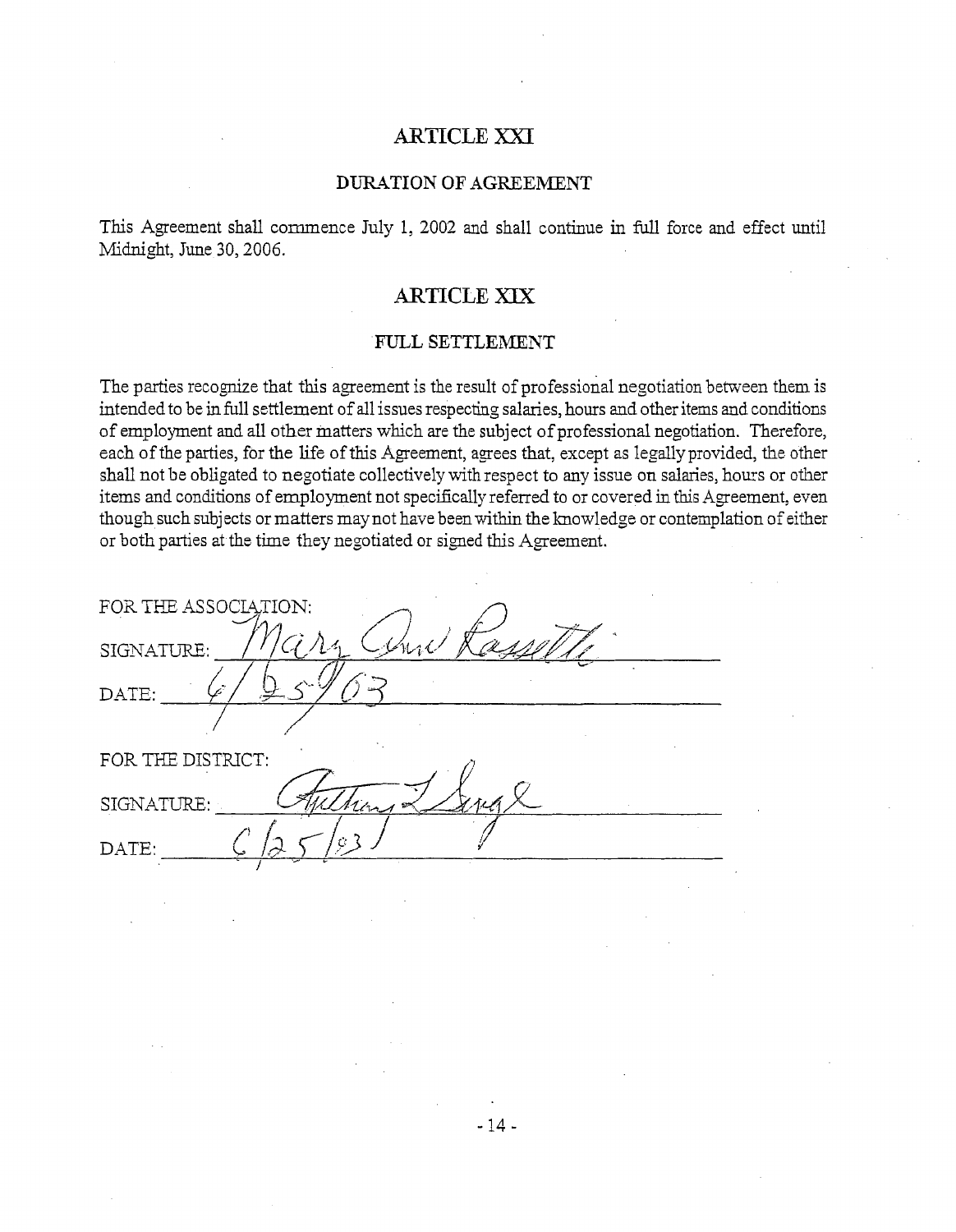# ARTICLE XXI

#### DURATION OF AGREEMENT

This Agreement shall commence July 1, 2002 and shall continue in full force and effect until Midnight, June 30, 2006.

## ARTICLE XJX

#### FULL SETTLEMENT

The parties recognize that this agreement is the result of professional negotiation between them is intended to be in full settlement of all issues respecting salaries, hours and other items and conditions of employment and all other matters which are the subject of professional negotiation. Therefore, each of the parties, for the life of this Agreement, agrees that, except as legallyprovided, the other shall not be obligated to negotiate collectively with respect to any issue on salaries, hours or other items and conditions of employment not specifically referred to or covered in this Agreement, even though such subjects or matters may not have been within the knowledge or contemplation of either or both parties at the time they negotiated or signed this Agreement.

 $-14-$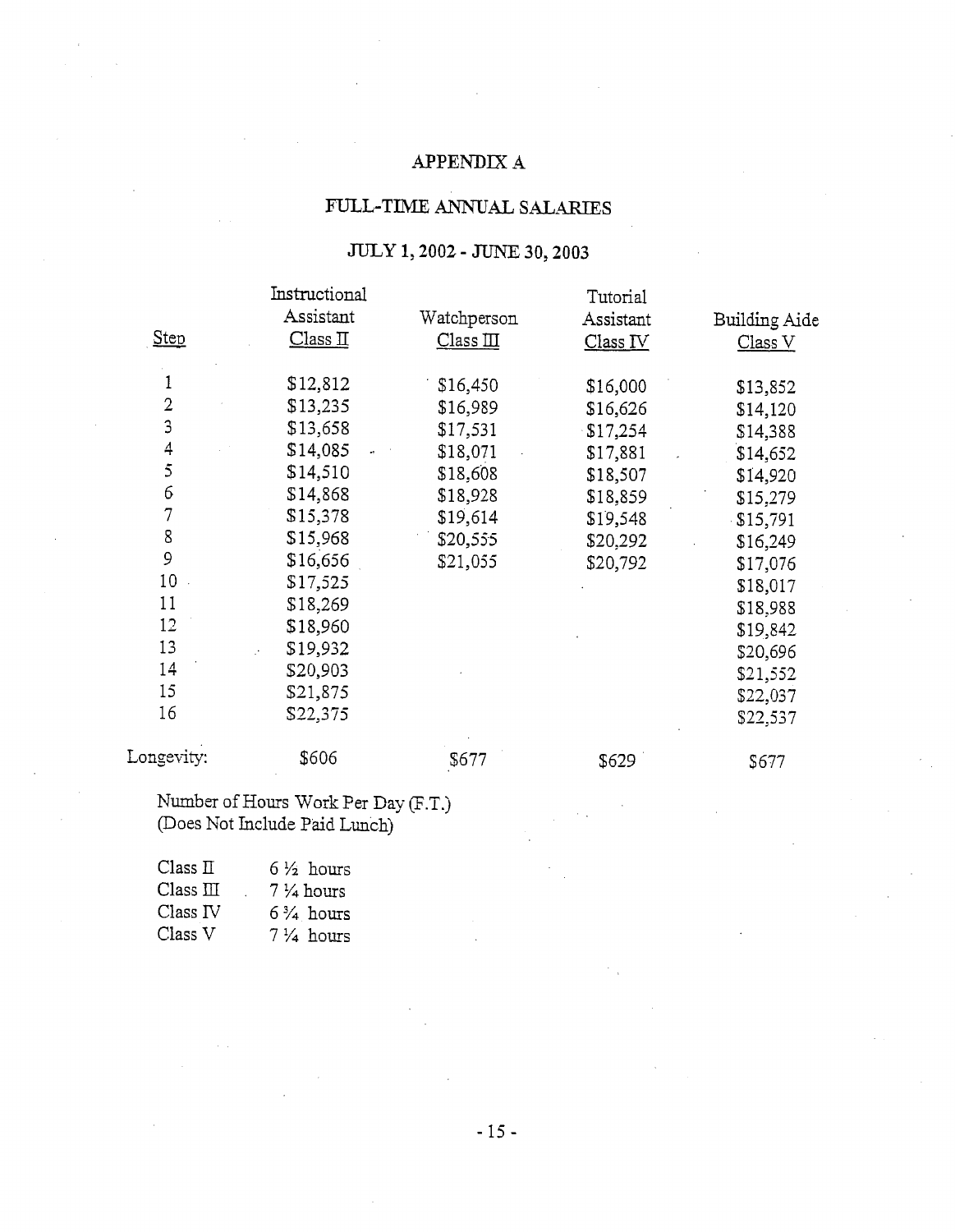# APPENDIX **A**

# FULL-TIME ANNUAL SALARIES

## JULY **1,2002** - JUNE **30,2003**

|                |               | $0.0111, 4002 - 0.0150, 300, 4003$ |           |               |
|----------------|---------------|------------------------------------|-----------|---------------|
|                | Instructional |                                    | Tutorial  |               |
|                | Assistant     | Watchperson                        | Assistant | Building Aide |
| Step           | Class II      | Class II                           | Class IV  | Class V       |
| 1              | \$12,812      | \$16,450                           | \$16,000  | \$13,852      |
| $\overline{2}$ | \$13,235      | \$16,989                           | \$16,626  | \$14,120      |
| 3              | \$13,658      | \$17,531                           | \$17,254  | \$14,388      |
| 4              | \$14,085      | \$18,071                           | \$17,881  | \$14,652      |
| 5              | \$14,510      | \$18,608                           | \$18,507  | \$14,920      |
| 6              | \$14,868      | \$18,928                           | \$18,859  | \$15,279      |
| $\overline{7}$ | \$15,378      | \$19,614                           | \$19,548  | \$15,791      |
| 8              | \$15,968      | \$20,555                           | \$20,292  | \$16,249      |
| 9              | \$16,656      | \$21,055                           | \$20,792  | \$17,076      |
| 10             | \$17,525      |                                    |           | \$18,017      |
| 11             | \$18,269      |                                    |           | \$18,988      |
| 12             | \$18,960      |                                    |           | \$19,842      |
| 13             | \$19,932      |                                    |           | \$20,696      |
| 14             | \$20,903      |                                    |           | \$21,552      |
| 15             | \$21,875      |                                    |           | \$22,037      |
| 16             | \$22,375      |                                    |           | \$22,537      |
| Longevity:     | \$606         | \$677                              | \$629     | \$677         |

Number of Hours Work Per Day (F.T.) (Does Not Include Paid Lunch)

| Class $\Pi$                 | $6\frac{1}{2}$ hours    |
|-----------------------------|-------------------------|
| Class $\scriptstyle\rm III$ | $7\,\frac{1}{4}$ hours  |
| Class IV                    | $6\frac{3}{4}$ hours    |
| Class V                     | $7\,\mathrm{\AA}$ hours |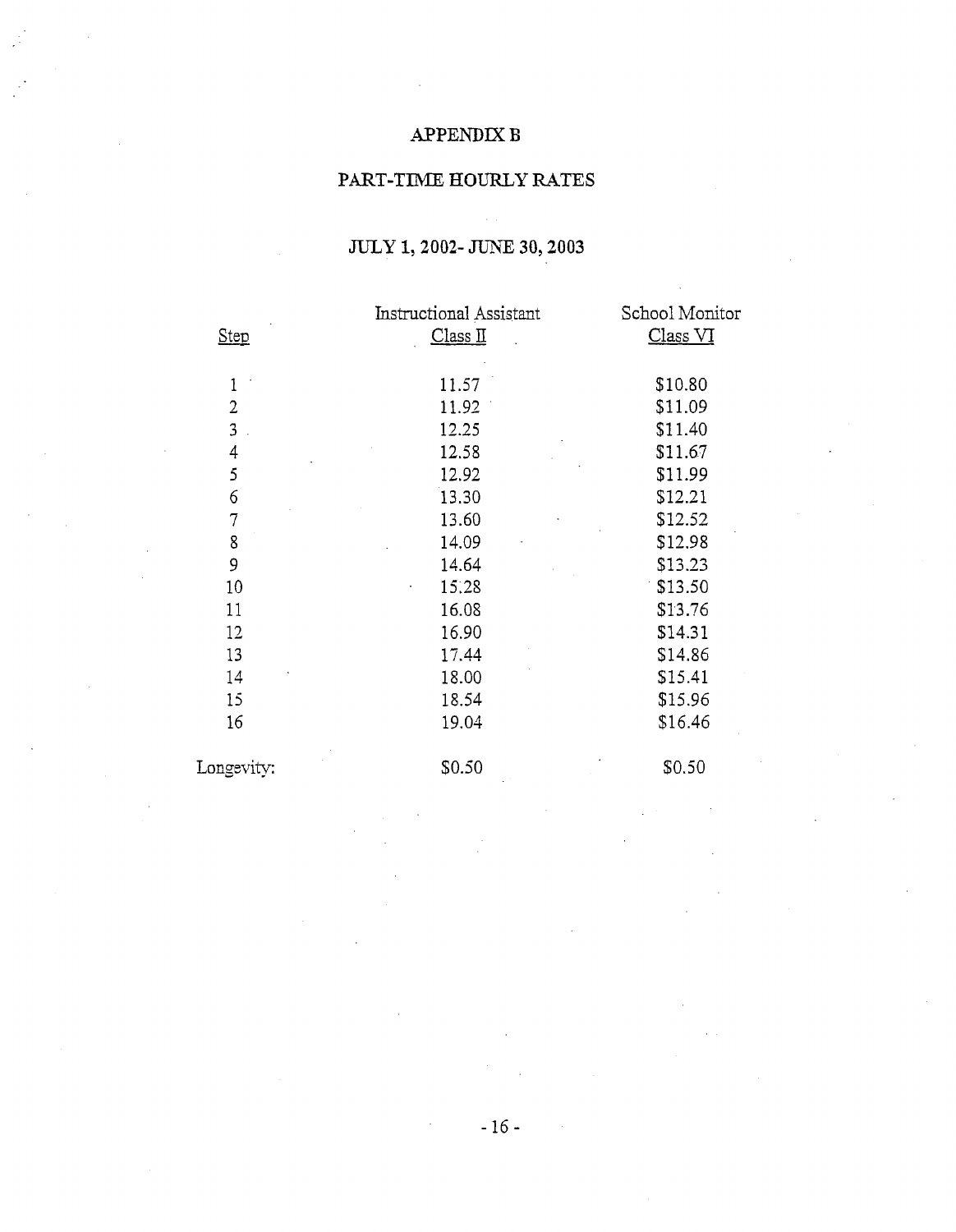# APPENDIX B

## PART-TIME HOURLY RATES

|                | <b>Instructional Assistant</b> | School Monitor |
|----------------|--------------------------------|----------------|
| Step           | Class II                       | Class VI       |
|                |                                |                |
| $\mathbf{1}$   | 11.57                          | \$10.80        |
| $\overline{2}$ | 11.92                          | \$11.09        |
| 3              | 12.25                          | \$11.40        |
| 4              | 12.58                          | \$11.67        |
| 5              | 12.92                          | \$11.99        |
| 6              | 13.30                          | \$12.21        |
| $\overline{7}$ | 13.60                          | \$12.52        |
| 8              | 14.09                          | \$12.98        |
| 9              | 14.64                          | \$13.23        |
| 10             | 15.28                          | \$13.50        |
| 11             | 16.08                          | \$13.76        |
| 12             | 16.90                          | \$14.31        |
| 13             | 17.44                          | \$14.86        |
| 14             | 18.00                          | \$15.41        |
| 15             | 18.54                          | \$15.96        |
| 16             | 19.04                          | \$16.46        |
| Longevity:     | \$0.50                         | \$0.50         |

# JULY **1,2002-** JUNE **30,2003**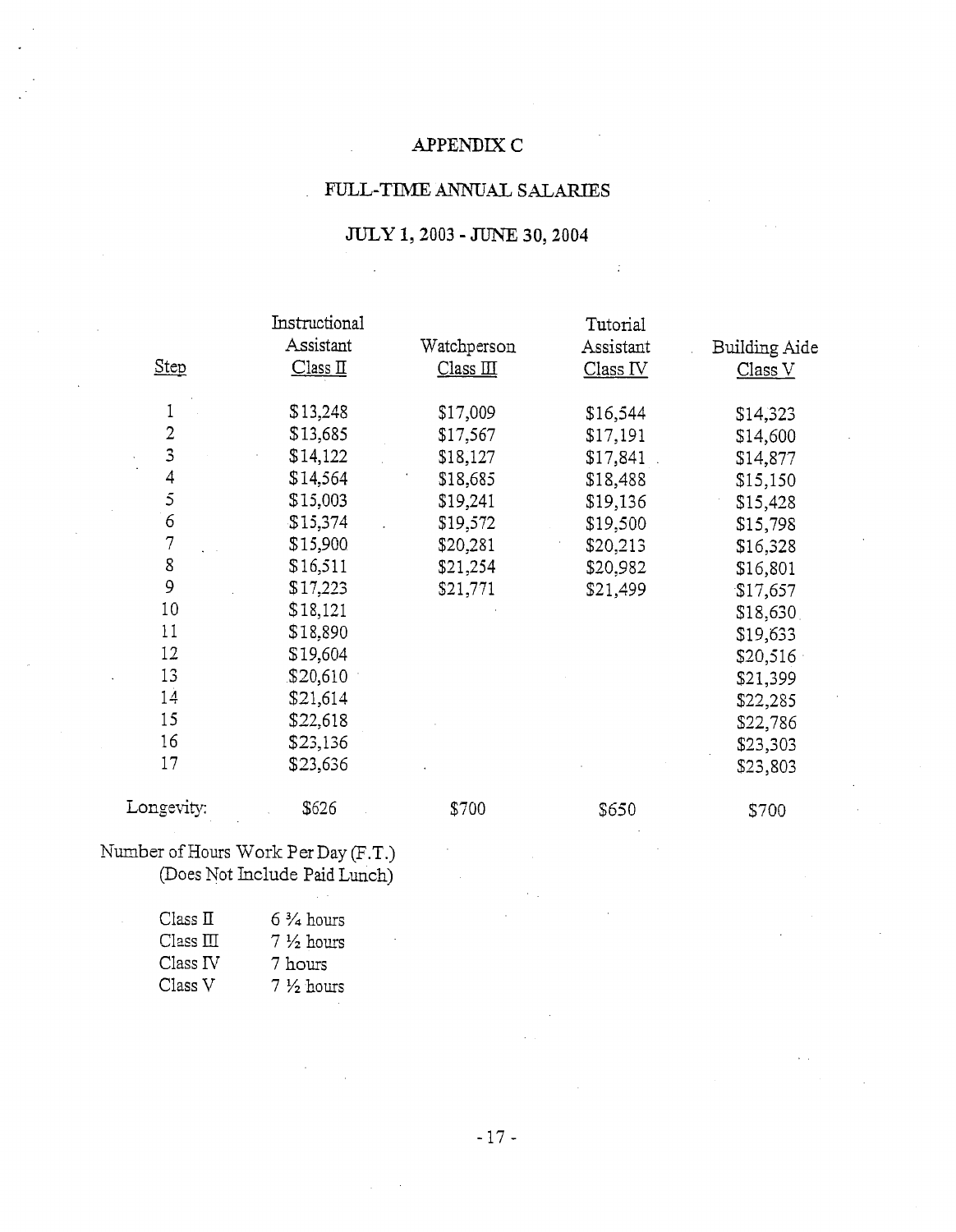## APPENDTX **C**

## FULL-TIME ANNUAL SALARIES

## *JULY* **1,2003** -JUNE **30,2004**

 $\hat{\mathcal{A}}$ 

 $\pm$ 

|                | Instructional |             | Tutorial  |               |
|----------------|---------------|-------------|-----------|---------------|
|                | Assistant     | Watchperson | Assistant | Building Aide |
| <b>Step</b>    | Class II      | Class II    | Class IV  | Class V       |
| 1              | \$13,248      | \$17,009    | \$16,544  | \$14,323      |
| 2              | \$13,685      | \$17,567    | \$17,191  | \$14,600      |
| 3              | \$14,122      | \$18,127    | \$17,841  | \$14,877      |
| 4              | \$14,564      | \$18,685    | \$18,488  | \$15,150      |
| 5              | \$15,003      | \$19,241    | \$19,136  | \$15,428      |
| $\epsilon$     | \$15,374      | \$19,572    | \$19,500  | \$15,798      |
| $\overline{7}$ | \$15,900      | \$20,281    | \$20,213  | \$16,328      |
| 8              | \$16,511      | \$21,254    | \$20,982  | \$16,801      |
| 9              | \$17,223      | \$21,771    | \$21,499  | \$17,657      |
| 10             | \$18,121      |             |           | \$18,630      |
| 11             | \$18,890      |             |           | \$19,633      |
| 12             | \$19,604      |             |           | \$20,516      |
| 13             | \$20,610      |             |           | \$21,399      |
| 14             | \$21,614      |             |           | \$22,285      |
| 15             | \$22,618      |             |           | \$22,786      |
| 16             | \$23,136      |             |           | \$23,303      |
| 17             | \$23,636      |             |           | \$23,803      |
| Longevity:     | \$626         | \$700       | \$650     | \$700         |

Number of Hours Work Per Day (F.T.) (Does Not Include Paid Lunch)

| Class II   | $6\frac{3}{4}$ hours |
|------------|----------------------|
| Class III. | $7\frac{1}{2}$ hours |
| Class IV   | 7 hours              |
| Class V    | $7\frac{1}{2}$ hours |
|            |                      |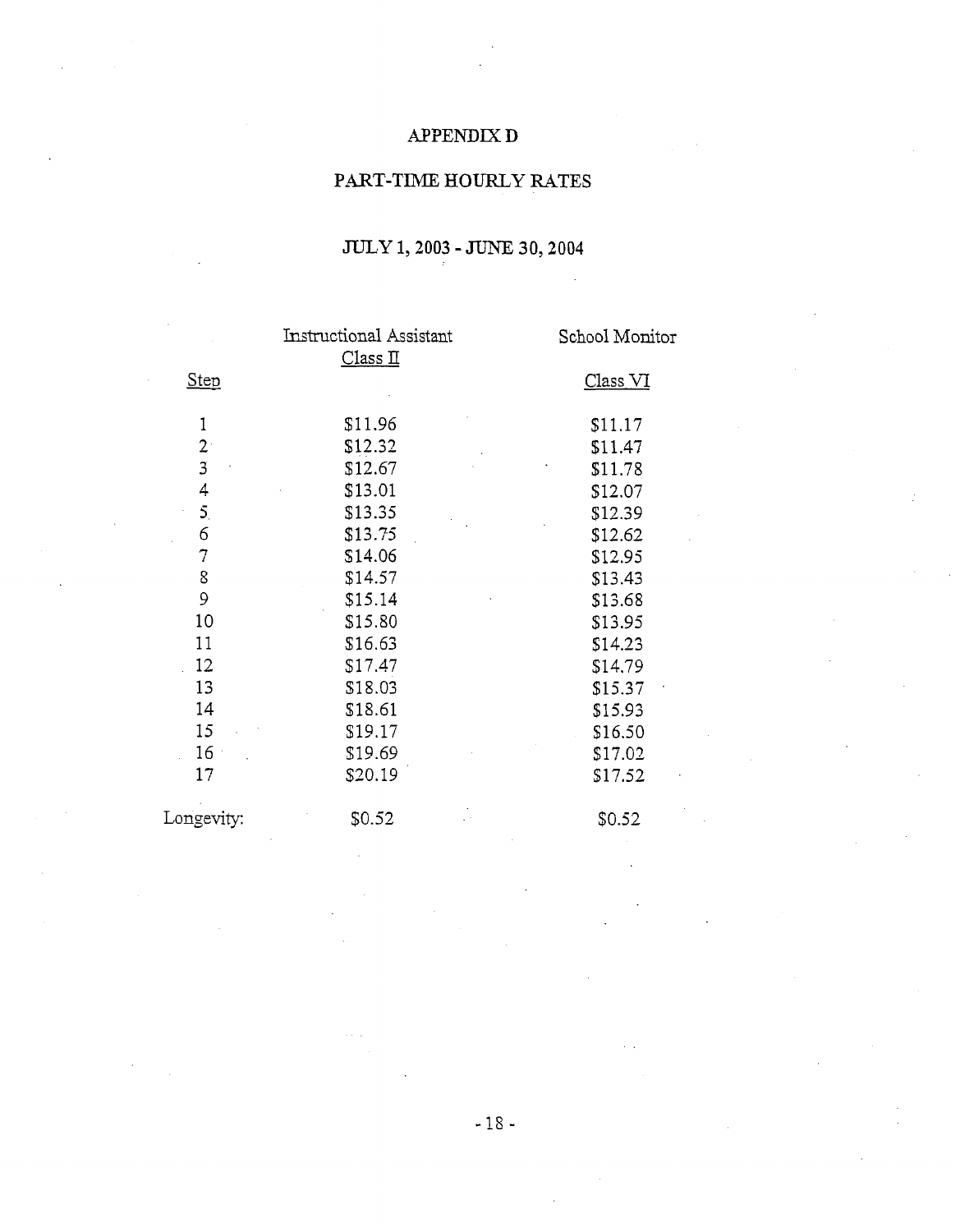# APPENDIX **D**

# PART-TIME HOURLY RATES

# $JULY$  1, 2003 - JUNE 30, 2004

|                | <b>Instructional Assistant</b><br>Class II | School Monitor      |
|----------------|--------------------------------------------|---------------------|
| <b>Step</b>    |                                            | Class <sub>VI</sub> |
| 1              | \$11.96                                    | \$11.17             |
| 2 <sup>1</sup> | \$12.32                                    | \$11.47             |
| 3              | \$12.67                                    | \$11.78             |
| 4              | \$13.01                                    | \$12.07             |
| 5.             | \$13.35                                    | \$12.39             |
| 6              | \$13.75                                    | \$12.62             |
| 7              | \$14.06                                    | \$12.95             |
| 8              | \$14.57                                    | \$13.43             |
| 9              | \$15.14                                    | \$13.68             |
| 10             | \$15.80                                    | \$13.95             |
| 11             | \$16.63                                    | \$14.23             |
| 12             | \$17.47                                    | \$14.79             |
| 13             | \$18.03                                    | \$15.37             |
| 14             | \$18.61                                    | \$15.93             |
| 15             | \$19.17                                    | \$16.50             |
| 16             | \$19.69                                    | \$17.02             |
| 17             | \$20.19                                    | \$17.52             |
| Longevity:     | \$0.52                                     | \$0.52              |
|                |                                            |                     |

 $-18 -$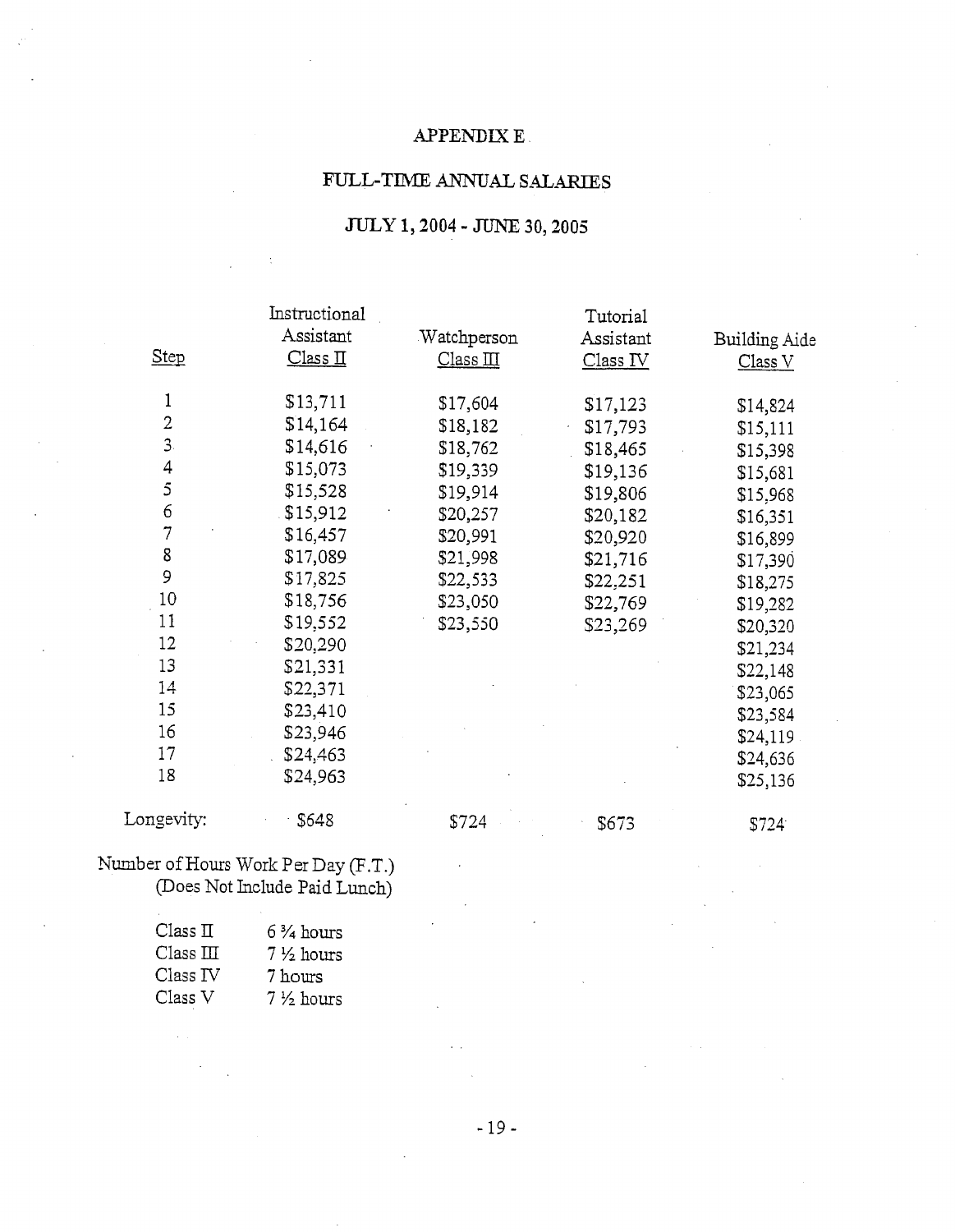## **APPENDIX E**

## FULL-TIME ANNUAL SALARIES

# **JULY 1,2004** - JUNE **30,2005**

|                | Instructional                        |             | Tutorial  |                   |
|----------------|--------------------------------------|-------------|-----------|-------------------|
|                | Assistant                            | Watchperson | Assistant | Building Aide     |
| Step           | $\frac{\text{Class II}}{\text{max}}$ | Class III   | Class IV  | Class V           |
| 1              | \$13,711                             | \$17,604    | \$17,123  | \$14,824          |
| $\overline{2}$ | \$14,164                             | \$18,182    | \$17,793  | \$15,111          |
| 3.             | \$14,616                             | \$18,762    | \$18,465  | \$15,398          |
| $\overline{4}$ | \$15,073                             | \$19,339    | \$19,136  | \$15,681          |
| 5              | \$15,528                             | \$19,914    | \$19,806  | \$15,968          |
| 6              | \$15,912                             | \$20,257    | \$20,182  | \$16,351          |
| $\overline{7}$ | \$16,457                             | \$20,991    | \$20,920  | \$16,899          |
| 8              | \$17,089                             | \$21,998    | \$21,716  | \$17,390          |
| 9              | \$17,825                             | \$22,533    | \$22,251  | \$18,275          |
| 10             | \$18,756                             | \$23,050    | \$22,769  | \$19,282          |
| 11             | \$19,552                             | \$23,550    | \$23,269  | \$20,320          |
| 12             | \$20,290                             |             |           | \$21,234          |
| 13             | \$21,331                             |             |           | \$22,148          |
| 14             | \$22,371                             |             |           | \$23,065          |
| 15             | \$23,410                             |             |           | \$23,584          |
| 16             | \$23,946                             |             |           | \$24,119          |
| 17             | \$24,463                             |             |           | \$24,636          |
| 18             | \$24,963                             |             |           | \$25,136          |
| Longevity:     | \$648                                | \$724       | \$673     | S724 <sup>-</sup> |

## Number of Hours Work Per Day (F.T.) (Does Not Include Paid Lunch)

| Class II  | $6\frac{3}{4}$ hours |
|-----------|----------------------|
| Class III | $7\frac{1}{2}$ hours |
| Class IV  | 7 hours              |
| Class V   | $7\frac{1}{2}$ hours |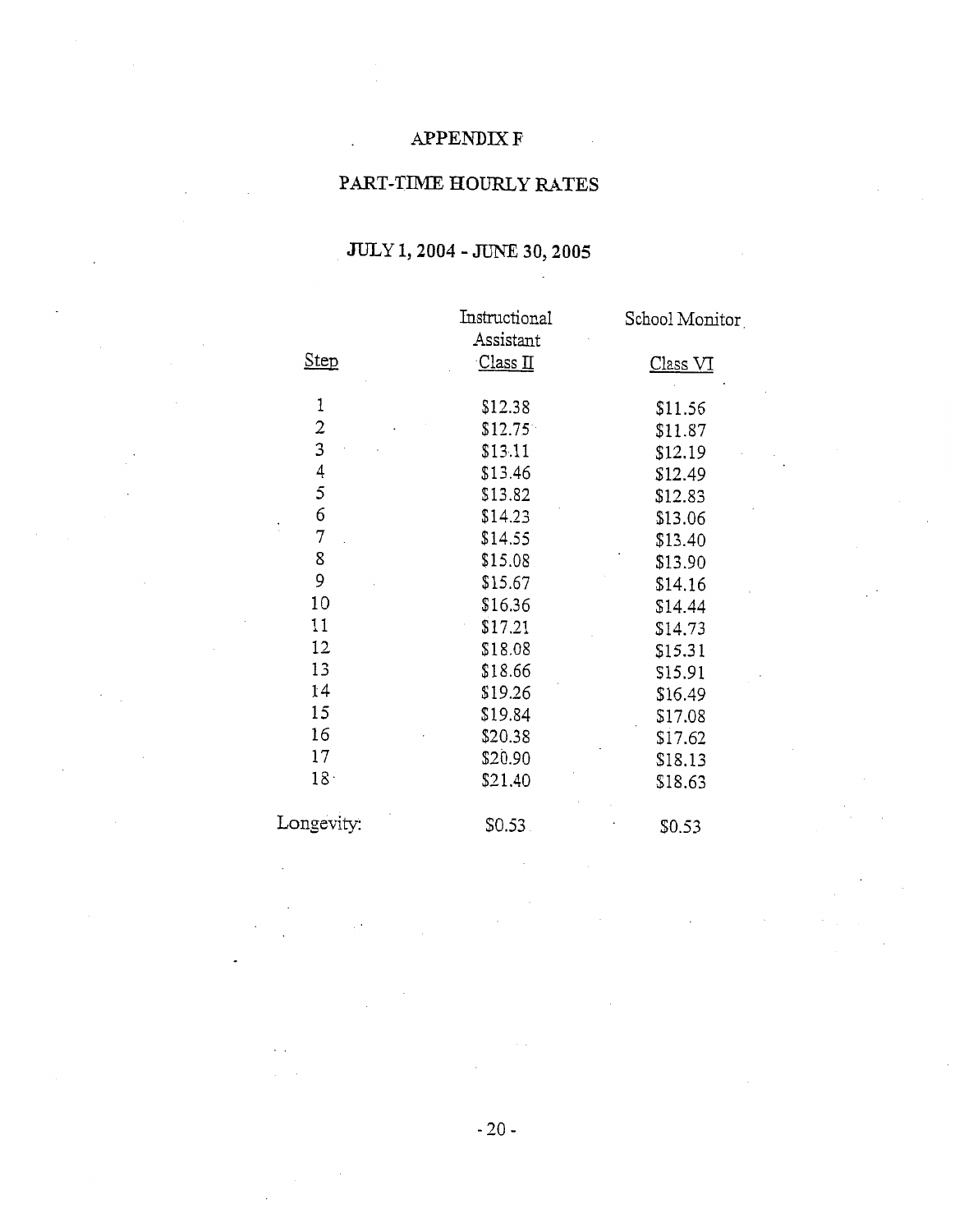# APPENDIX **F**

# PART-TIME HOURLY RATES

# **JULY 1,2004** - JUNE **30,2005**

|                 | Instructional       | School Monitor  |
|-----------------|---------------------|-----------------|
|                 | Assistant           |                 |
| <b>Step</b>     | Class <sub>II</sub> | <u>Class VI</u> |
| 1               | \$12.38             | \$11.56         |
| $\overline{c}$  | \$12.75             | \$11.87         |
| 3               | \$13.11             | \$12.19         |
| 4               | \$13.46             | \$12.49         |
| 5               | \$13.82             | \$12.83         |
| 6               | \$14.23             | \$13.06         |
| 7               | \$14.55             | \$13.40         |
| 8               | \$15.08             | \$13.90         |
| 9               | \$15.67             | \$14.16         |
| 10              | \$16.36             | \$14.44         |
| 11              | \$17.21             | \$14.73         |
| 12              | \$18.08             | \$15.31         |
| 13              | \$18.66             | \$15.91         |
| 14              | \$19.26             | \$16.49         |
| 15              | \$19.84             | \$17.08         |
| 16              | \$20.38             | \$17.62         |
| 17              | \$20.90             | \$18.13         |
| 18 <sup>1</sup> | \$21.40             | \$18.63         |
| Longevity:      | \$0.53.             | \$0.53          |

 $-20-$ 

 $\bar{z}$ 

 $\sim$   $\sim$ 

 $\ddot{\phantom{1}}$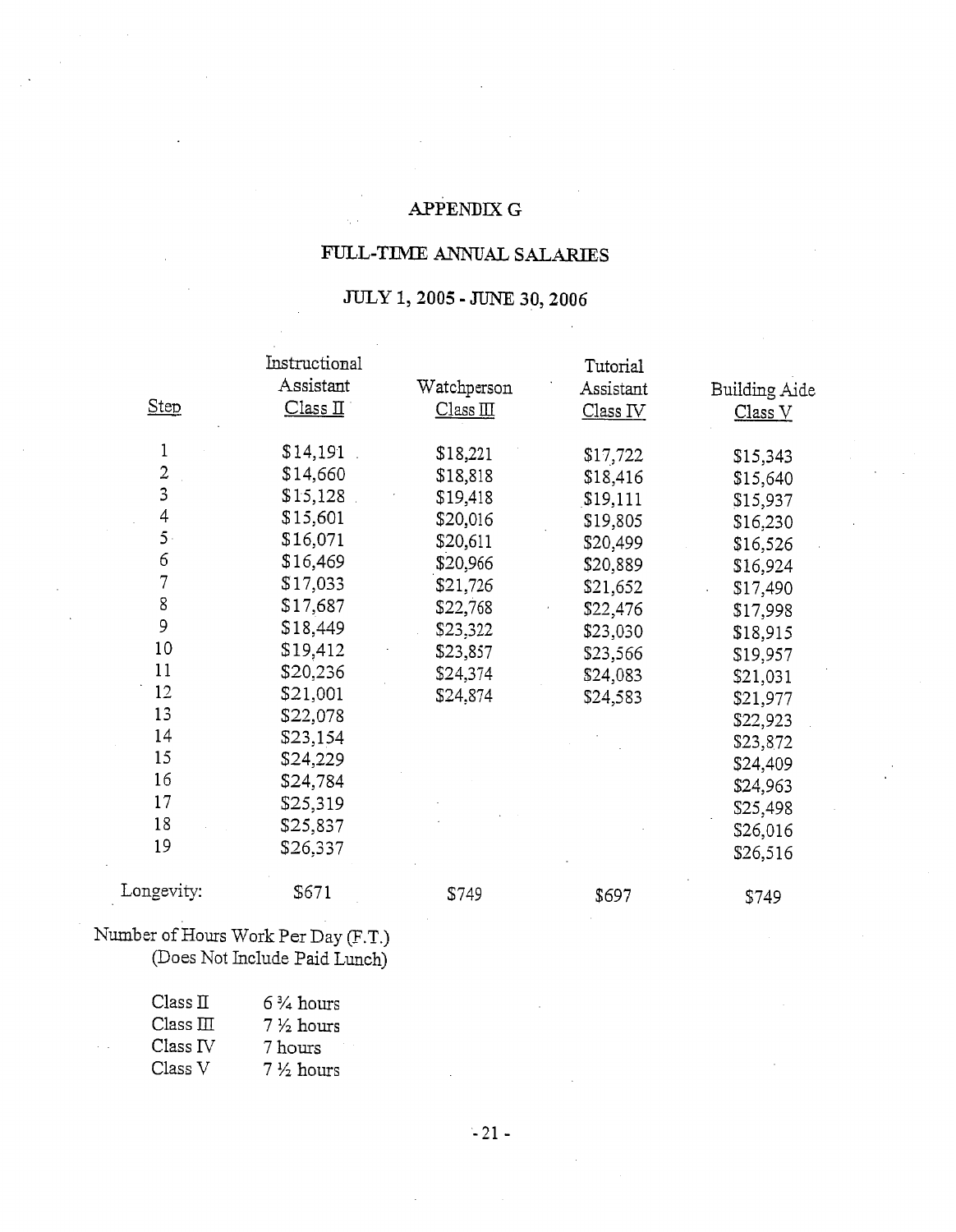# APPENDIX *G*

# FULL-TIME **ANNUAL SALARIES**

# **JULY 1,2005** - **JUNE 30,2006**

|                | Instructional                        |             | Tutorial  |                    |
|----------------|--------------------------------------|-------------|-----------|--------------------|
|                | Assistant                            | Watchperson | Assistant | Building Aide      |
| <b>Step</b>    | $\frac{\text{Class II}}{\text{max}}$ | Class II    | Class IV  | Class <sub>V</sub> |
| 1              | \$14,191                             | \$18,221    | \$17,722  | \$15,343           |
| $\overline{2}$ | \$14,660                             | \$18,818    | \$18,416  | \$15,640           |
| $\overline{3}$ | \$15,128                             | \$19,418    | \$19,111  | \$15,937           |
| 4              | \$15,601                             | \$20,016    | \$19,805  | \$16,230           |
| $5 -$          | \$16,071                             | \$20,611    | \$20,499  | \$16,526           |
| 6              | \$16,469                             | \$20,966    | \$20,889  | \$16,924           |
| $\overline{7}$ | \$17,033                             | \$21,726    | \$21,652  | \$17,490           |
| 8              | \$17,687                             | \$22,768    | \$22,476  | \$17,998           |
| 9              | \$18,449                             | \$23,322    | \$23,030  | \$18,915           |
| 10             | \$19,412                             | \$23,857    | \$23,566  | \$19,957           |
| 11             | \$20,236                             | \$24,374    | \$24,083  | \$21,031           |
| 12             | \$21,001                             | \$24,874    | \$24,583  | \$21,977           |
| 13             | \$22,078                             |             |           | \$22,923           |
| 14             | \$23,154                             |             |           | \$23,872           |
| 15             | \$24,229                             |             |           | \$24,409           |
| 16             | \$24,784                             |             |           | \$24,963           |
| 17             | \$25,319                             |             |           | \$25,498           |
| 18             | \$25,837                             |             |           | \$26,016           |
| 19             | \$26,337                             |             |           | \$26,516           |
| Longevity:     | \$671                                | \$749       | \$697     | \$749              |

## Number of Hours Work Per Day (F.T.) (Does Not Include Paid Lunch)

| Class I <sub>I</sub> | $6\frac{3}{4}$ hours |
|----------------------|----------------------|
| $Class \Pi$          | $7\frac{1}{2}$ hours |
| Class <sub>IV</sub>  | 7 hours              |
| Class V              | $7\frac{1}{2}$ hours |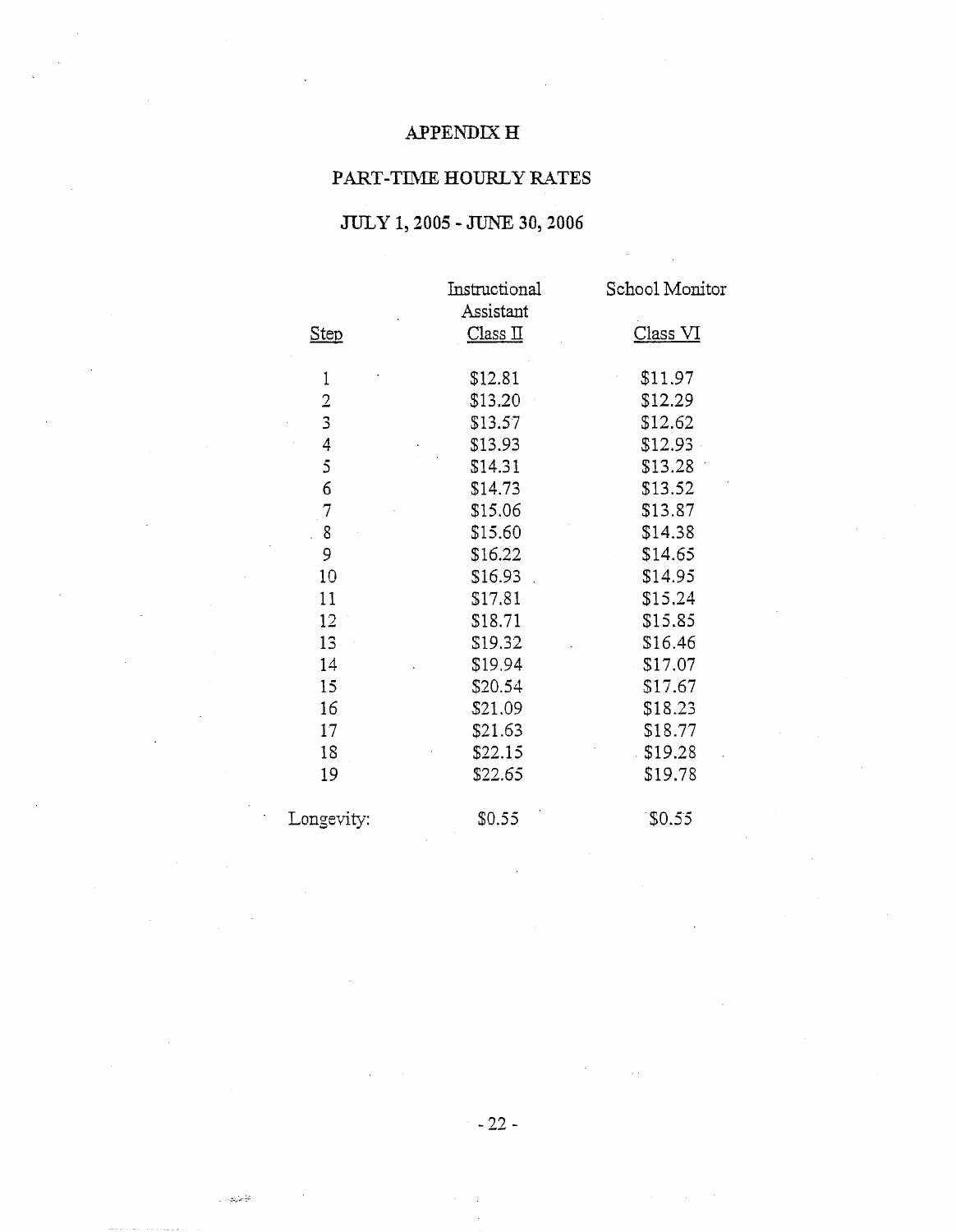# APPENDIX  $\mathbf H$

# PART-TIME HOURLY **RATES**

# **JULY 1,2005** - **JUNE 30,2006**

|                | Instructional<br>Assistant | School Monitor |
|----------------|----------------------------|----------------|
| <b>Step</b>    | Class II                   | Class VI       |
| 1              | \$12.81                    | \$11.97        |
| $\overline{2}$ | \$13.20                    | \$12.29        |
| 3              | \$13.57                    | \$12.62        |
| $\overline{4}$ | \$13.93                    | \$12.93        |
| 5              | \$14.31                    | \$13.28        |
| 6              | \$14.73                    | \$13.52        |
| $\overline{7}$ | \$15.06                    | \$13.87        |
| 8              | \$15.60                    | \$14.38        |
| 9              | \$16.22                    | \$14.65        |
| 10             | \$16.93                    | \$14.95        |
| 11             | \$17.81                    | \$15.24        |
| 12             | \$18.71                    | \$15.85        |
| 13             | \$19.32                    | \$16.46        |
| 14             | \$19.94                    | \$17.07        |
| 15             | \$20.54                    | \$17.67        |
| 16             | \$21.09                    | \$18.23        |
| 17             | \$21.63                    | \$18.77        |
| 18             | \$22.15                    | \$19.28        |
| 19             | \$22.65                    | \$19.78        |
| Longevity:     | \$0.55                     | \$0.55         |

 $-22-$ 

 $\sim 10^{12}$